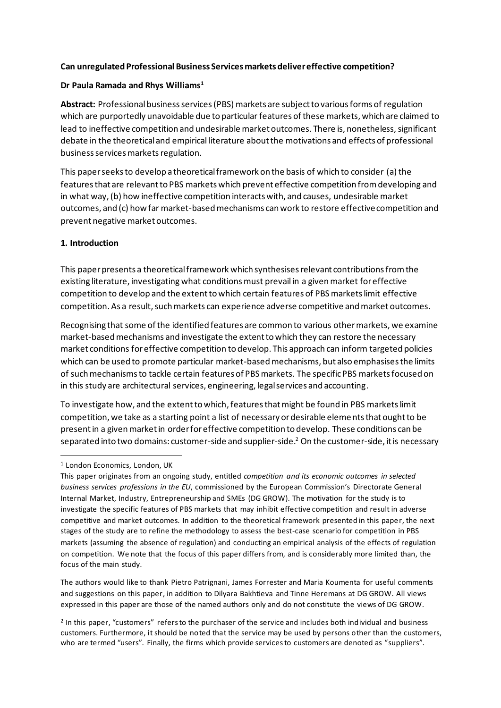### **Can unregulated Professional Business Services markets deliver effective competition?**

#### **Dr Paula Ramada and Rhys Williams<sup>1</sup>**

Abstract: Professional business services (PBS) markets are subject to various forms of regulation which are purportedly unavoidable due to particular features of these markets, which are claimed to lead to ineffective competition and undesirable market outcomes. There is, nonetheless, significant debate in the theoretical and empirical literature about the motivations and effects of professional business services markets regulation.

This paper seeks to develop a theoretical framework on the basis of which to consider (a) the featuresthat are relevant to PBS markets which prevent effective competition from developing and in what way, (b) how ineffective competition interacts with, and causes, undesirable market outcomes, and (c) how far market-based mechanisms can work to restore effective competition and prevent negative market outcomes.

#### **1. Introduction**

This paper presents a theoretical framework which synthesises relevant contributions from the existing literature, investigating what conditions must prevail in a given market for effective competition to develop and the extent to which certain features of PBSmarkets limit effective competition. As a result, such markets can experience adverse competitive and market outcomes.

Recognising that some of the identified features are common to various other markets, we examine market-based mechanisms and investigate the extent to which they can restore the necessary market conditions for effective competition to develop. This approach can inform targeted policies which can be used to promote particular market-based mechanisms, but also emphasises the limits of such mechanisms to tackle certain features of PBS markets. The specific PBS marketsfocused on in this study are architectural services, engineering, legal services and accounting.

To investigate how, and the extent to which, features that might be found in PBS markets limit competition, we take as a starting point a list of necessary or desirable elements that ought to be present in a given market in order for effective competition to develop. These conditions can be separated into two domains: customer-side and supplier-side.<sup>2</sup> On the customer-side, it is necessary

The authors would like to thank Pietro Patrignani, James Forrester and Maria Koumenta for useful comments and suggestions on this paper, in addition to Dilyara Bakhtieva and Tinne Heremans at DG GROW. All views expressed in this paper are those of the named authors only and do not constitute the views of DG GROW.

<sup>2</sup> In this paper, "customers" refers to the purchaser of the service and includes both individual and business customers. Furthermore, it should be noted that the service may be used by persons other than the customers, who are termed "users". Finally, the firms which provide services to customers are denoted as "suppliers".

<sup>&</sup>lt;sup>1</sup> London Economics, London, UK

This paper originates from an ongoing study, entitled *competition and its economic outcomes in selected business services professions in the EU*, commissioned by the European Commission's Directorate General Internal Market, Industry, Entrepreneurship and SMEs (DG GROW). The motivation for the study is to investigate the specific features of PBS markets that may inhibit effective competition and result in adverse competitive and market outcomes. In addition to the theoretical framework presented in this paper, the next stages of the study are to refine the methodology to assess the best-case scenario for competition in PBS markets (assuming the absence of regulation) and conducting an empirical analysis of the effects of regulation on competition. We note that the focus of this paper differs from, and is considerably more limited than, the focus of the main study.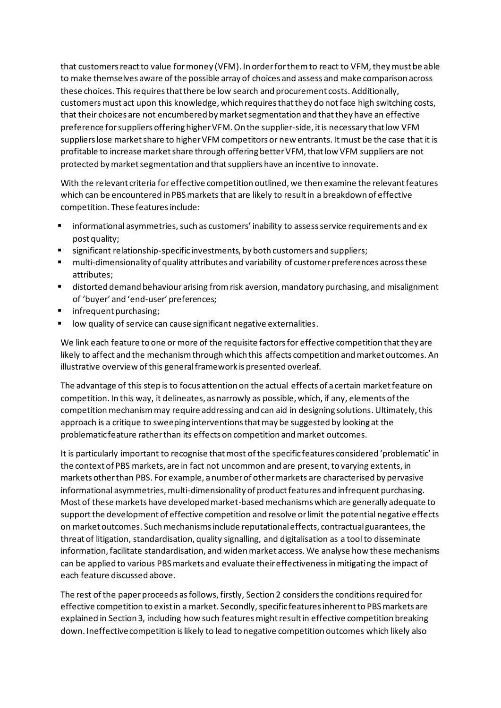that customers react to value for money (VFM). In order for them to react to VFM, they must be able to make themselves aware of the possible array of choices and assess and make comparison across these choices. This requires that there be low search and procurement costs. Additionally, customers must act upon this knowledge, which requires that they do not face high switching costs, that their choices are not encumbered by market segmentation and that they have an effective preference for suppliers offering higher VFM. On the supplier-side, itis necessary that low VFM suppliers lose market share to higher VFM competitors or new entrants. It must be the case that it is profitable to increase market share through offering better VFM, that low VFM suppliers are not protected by market segmentation and that suppliers have an incentive to innovate.

With the relevant criteria for effective competition outlined, we then examine the relevantfeatures which can be encountered in PBS markets that are likely to result in a breakdown of effective competition. These features include:

- informational asymmetries, such as customers' inability to assess service requirements and ex post quality;
- significant relationship-specific investments, by both customers and suppliers;
- multi-dimensionality of quality attributes and variability of customer preferences across these attributes;
- distorted demand behaviour arising from risk aversion, mandatory purchasing, and misalignment of 'buyer' and 'end-user' preferences;
- infrequent purchasing;
- low quality of service can cause significant negative externalities.

We link each feature to one or more of the requisite factors for effective competition that they are likely to affect and the mechanism through which this affects competition and market outcomes. An illustrative overview of this general framework is presented overleaf.

The advantage of this step is to focus attention on the actual effects of a certain market feature on competition. In this way, it delineates, as narrowly as possible, which, if any, elements of the competition mechanism may require addressing and can aid in designing solutions. Ultimately, this approach is a critique to sweeping interventions that may be suggested by looking at the problematic feature rather than its effects on competition and market outcomes.

It is particularly important to recognise that most of the specific features considered 'problematic' in the context of PBS markets, are in fact not uncommon and are present, to varying extents, in markets other than PBS. For example, a number of other markets are characterised by pervasive informational asymmetries, multi-dimensionality of product features and infrequent purchasing. Most of these markets have developed market-based mechanisms which are generally adequate to support the development of effective competition and resolve or limit the potential negative effects on market outcomes. Such mechanisms include reputational effects, contractual guarantees, the threat of litigation, standardisation, quality signalling, and digitalisation as a tool to disseminate information, facilitate standardisation, and widen market access. We analyse how these mechanisms can be applied to various PBS markets and evaluate their effectiveness in mitigating the impact of each feature discussed above.

The rest of the paper proceeds as follows, firstly, Section 2 considersthe conditions required for effective competition to exist in a market. Secondly, specific features inherent to PBS markets are explained in Section 3, including how such features might result in effective competition breaking down. Ineffective competition is likely to lead to negative competition outcomes which likely also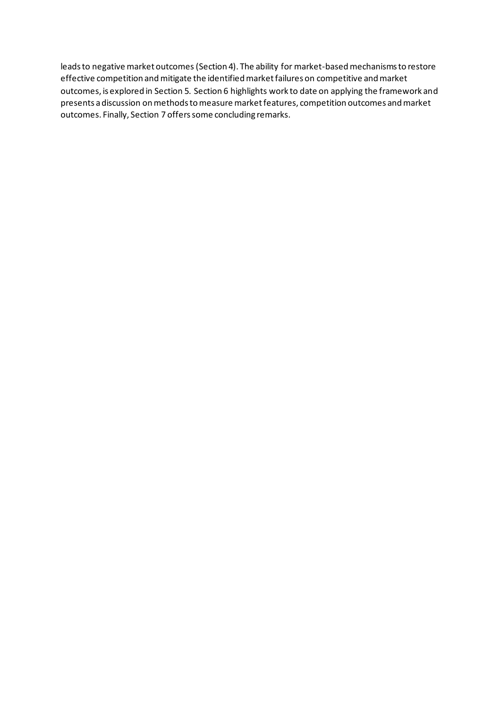leads to negative market outcomes(Section 4). The ability for market-based mechanisms to restore effective competition and mitigate the identified market failures on competitive and market outcomes, is explored in Section 5. Section 6 highlights work to date on applying the framework and presents a discussion on methods to measure market features, competition outcomes and market outcomes. Finally, Section 7 offers some concluding remarks.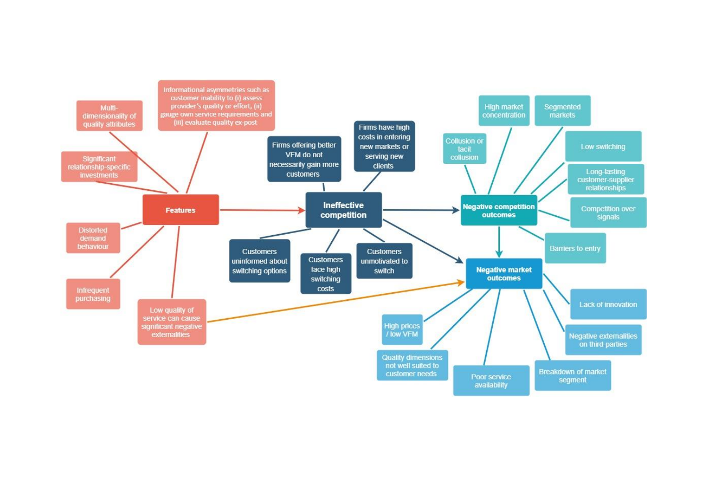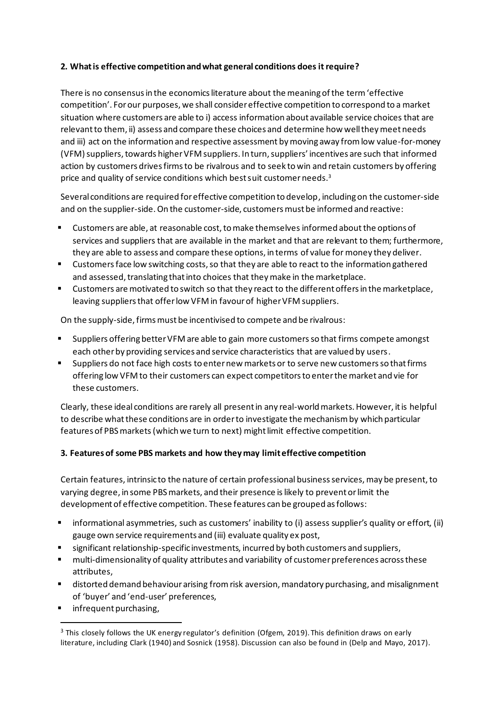### **2. What is effective competition and what general conditions does it require?**

There is no consensus in the economics literature about the meaning of the term 'effective competition'. For our purposes, we shall consider effective competition to correspond to a market situation where customers are able to i) access information about available service choices that are relevant to them, ii) assess and compare these choices and determine how well they meet needs and iii) act on the information and respective assessment bymoving away from low value-for-money (VFM) suppliers, towards higher VFM suppliers. In turn, suppliers' incentives are such that informed action by customers drives firms to be rivalrous and to seek to win and retain customers by offering price and quality of service conditions which best suit customer needs. $^3$ 

Several conditions are required for effective competition to develop, including on the customer-side and on the supplier-side. On the customer-side, customersmust be informed and reactive:

- Customers are able, at reasonable cost, to make themselves informed about the options of services and suppliers that are available in the market and that are relevant to them; furthermore, they are able to assess and compare these options, in terms of value for money they deliver.
- Customers face low switching costs, so that they are able to react to the information gathered and assessed, translating that into choices that they make in the marketplace.
- Customers are motivated to switch so that they react to the different offers in the marketplace, leaving suppliers that offer low VFM in favour of higher VFM suppliers.

On the supply-side, firms must be incentivised to compete and be rivalrous:

- Suppliers offering better VFM are able to gain more customers so that firms compete amongst each other by providing services and service characteristics that are valued by users.
- Suppliers do not face high costs to enter new markets or to serve new customersso that firms offering low VFM to their customers can expect competitors to enter the market and vie for these customers.

Clearly, these ideal conditions are rarely all present in any real-world markets. However, it is helpful to describe what these conditions are in order to investigate the mechanism by which particular features of PBS markets(which we turn to next) might limit effective competition.

# **3. Features of some PBS markets and how they may limit effective competition**

Certain features, intrinsic to the nature of certain professional business services, may be present, to varying degree, in some PBS markets, and their presence islikely to prevent or limit the development of effective competition. These features can be grouped as follows:

- informational asymmetries, such as customers' inability to (i) assess supplier's quality or effort, (ii) gauge own service requirements and (iii) evaluate quality ex post,
- significant relationship-specific investments, incurred by both customers and suppliers,
- multi-dimensionality of quality attributes and variability of customer preferences across these attributes,
- distorted demand behaviour arising from risk aversion, mandatory purchasing, and misalignment of 'buyer' and 'end-user' preferences,
- infrequent purchasing,

<sup>&</sup>lt;sup>3</sup> This closely follows the UK energy regulator's definition (Ofgem, 2019). This definition draws on early literature, including Clark (1940) and Sosnick (1958). Discussion can also be found in (Delp and Mayo, 2017).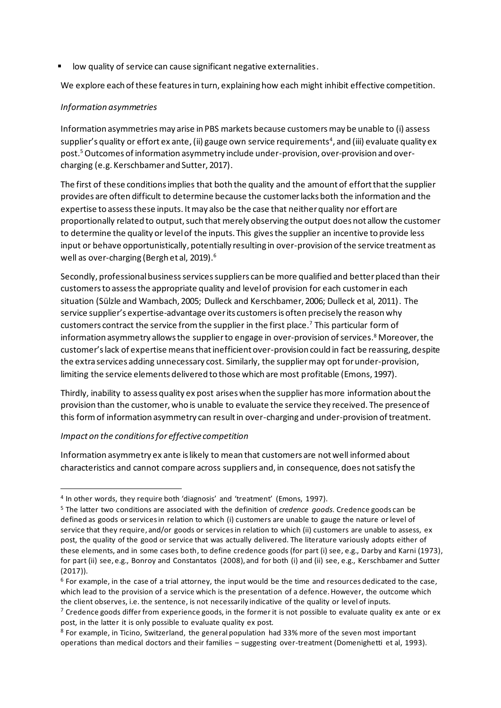low quality of service can cause significant negative externalities.

We explore each of these features in turn, explaining how each might inhibit effective competition.

#### *Information asymmetries*

Information asymmetries may arise in PBS markets because customers may be unable to (i) assess supplier's quality or effort ex ante, (ii) gauge own service requirements<sup>4</sup>, and (iii) evaluate quality ex post. 5Outcomes of information asymmetry include under-provision, over-provision and overcharging (e.g. Kerschbamer and Sutter, 2017).

The first of these conditions implies that both the quality and the amount of effort that the supplier provides are often difficult to determine because the customer lacks both the information and the expertise to assess these inputs. It may also be the case that neither quality nor effort are proportionally related to output, such that merely observing the output does not allow the customer to determine the quality or level of the inputs. This gives the supplier an incentive to provide less input or behave opportunistically, potentially resulting in over-provision of the service treatment as well as over-charging (Bergh et al, 2019). 6

Secondly, professional business services suppliers can be more qualified and better placed than their customers to assess the appropriate quality and level of provision for each customer in each situation (Sülzle and Wambach, 2005; Dulleck and Kerschbamer, 2006; Dulleck et al, 2011). The service supplier's expertise-advantage over its customers is often precisely the reason why customers contract the service from the supplier in the first place.<sup>7</sup> This particular form of information asymmetry allows the supplier to engage in over-provision of services. <sup>8</sup> Moreover, the customer'slack of expertise means that inefficient over-provision could in fact be reassuring, despite the extra services adding unnecessary cost. Similarly, the suppliermay opt for under-provision, limiting the service elements delivered to those which are most profitable (Emons, 1997).

Thirdly, inability to assess quality ex post arises when the supplier has more information about the provision than the customer, who is unable to evaluate the service they received. The presence of this formof information asymmetry can result in over-charging and under-provision of treatment.

#### *Impact on the conditions for effective competition*

Information asymmetry ex ante is likely to mean that customers are not well informed about characteristics and cannot compare across suppliers and, in consequence, does not satisfy the

<sup>4</sup> In other words, they require both 'diagnosis' and 'treatment' (Emons, 1997).

<sup>5</sup> The latter two conditions are associated with the definition of *credence goods.* Credence goods can be defined as goods or services in relation to which (i) customers are unable to gauge the nature or level of service that they require, and/or goods or services in relation to which (ii) customers are unable to assess, ex post, the quality of the good or service that was actually delivered. The literature variously adopts either of these elements, and in some cases both, to define credence goods (for part (i) see, e.g., Darby and Karni (1973), for part (ii) see, e.g., Bonroy and Constantatos (2008), and for both (i) and (ii) see, e.g., Kerschbamer and Sutter (2017)).

<sup>6</sup> For example, in the case of a trial attorney, the input would be the time and resources dedicated to the case, which lead to the provision of a service which is the presentation of a defence. However, the outcome which the client observes, i.e. the sentence, is not necessarily indicative of the quality or level of inputs.

 $7$  Credence goods differ from experience goods, in the former it is not possible to evaluate quality ex ante or ex post, in the latter it is only possible to evaluate quality ex post.

<sup>8</sup> For example, in Ticino, Switzerland, the general population had 33% more of the seven most important operations than medical doctors and their families – suggesting over-treatment (Domenighetti et al, 1993).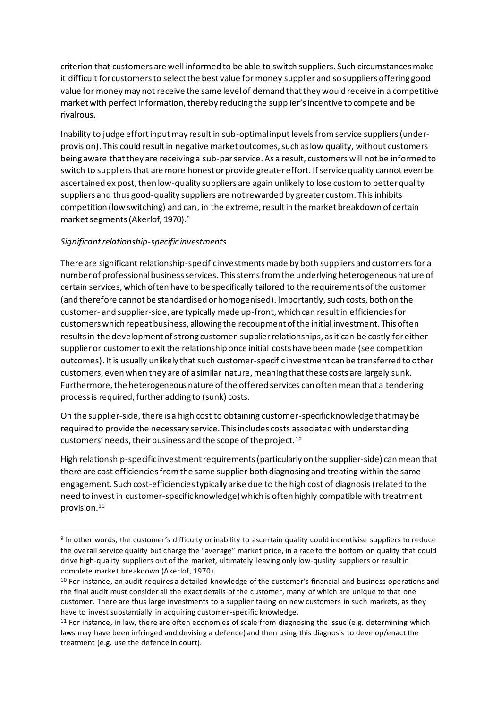criterion that customers are well informed to be able to switch suppliers. Such circumstances make it difficult for customers to select the best value for money supplier and so suppliers offering good value for money may not receive the same level of demand that they would receive in a competitive market with perfect information, thereby reducing the supplier's incentive to compete and be rivalrous.

Inability to judge effort input may result in sub-optimal input levels from service suppliers(underprovision). This could result in negative market outcomes, such as low quality, without customers being aware that they are receiving a sub-par service. As a result, customers will not be informed to switch to suppliers that are more honest or provide greater effort. If service quality cannot even be ascertained ex post, then low-quality suppliers are again unlikely to lose custom to better quality suppliers and thus good-quality suppliers are not rewarded by greater custom. This inhibits competition (low switching) and can, in the extreme, result in the market breakdown of certain market segments (Akerlof, 1970). 9

### *Significant relationship-specific investments*

There are significant relationship-specific investments made by both suppliers and customersfor a number of professional business services. This stems from the underlying heterogeneous nature of certain services, which often have to be specifically tailored to the requirements of the customer (and therefore cannot be standardised or homogenised). Importantly, such costs, both on the customer- and supplier-side, are typically made up-front, which can result in efficiencies for customers which repeat business, allowing the recoupment of the initial investment. This often results in the development of strong customer-supplierrelationships, as it can be costly for either supplier or customer to exit the relationship once initial costs have been made (see competition outcomes). It is usually unlikely that such customer-specific investment can be transferred to other customers, even when they are of a similar nature, meaning that these costs are largely sunk. Furthermore, the heterogeneous nature of the offered services can often mean that a tendering process is required, further adding to (sunk) costs.

On the supplier-side, there is a high cost to obtaining customer-specific knowledge that may be required to provide the necessary service. This includes costs associated with understanding customers' needs, their business and the scope of the project. <sup>10</sup>

High relationship-specific investment requirements (particularly on the supplier-side) can mean that there are cost efficiencies fromthe same supplier both diagnosing and treating within the same engagement. Such cost-efficiencies typically arise due to the high cost of diagnosis (related to the need to invest in customer-specific knowledge) which is often highly compatible with treatment provision.<sup>11</sup>

<sup>9</sup> In other words, the customer's difficulty or inability to ascertain quality could incentivise suppliers to reduce the overall service quality but charge the "average" market price, in a race to the bottom on quality that could drive high-quality suppliers out of the market, ultimately leaving only low-quality suppliers or result in complete market breakdown (Akerlof, 1970).

 $10$  For instance, an audit requires a detailed knowledge of the customer's financial and business operations and the final audit must consider all the exact details of the customer, many of which are unique to that one customer. There are thus large investments to a supplier taking on new customers in such markets, as they have to invest substantially in acquiring customer-specific knowledge.

<sup>&</sup>lt;sup>11</sup> For instance, in law, there are often economies of scale from diagnosing the issue (e.g. determining which laws may have been infringed and devising a defence) and then using this diagnosis to develop/enact the treatment (e.g. use the defence in court).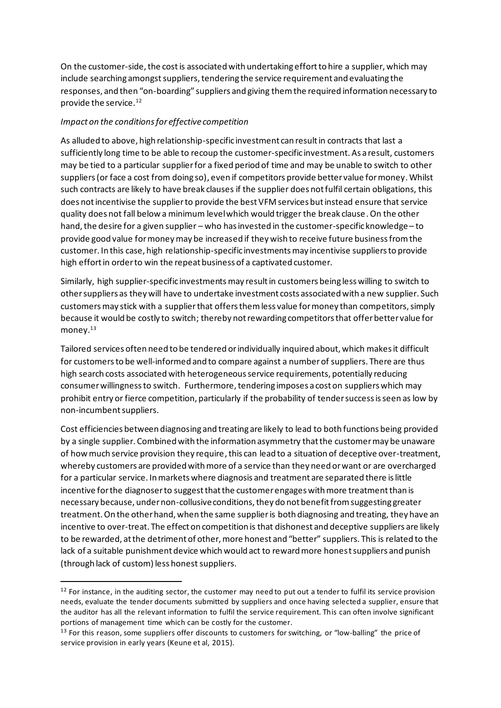On the customer-side, the cost is associated with undertaking effort to hire a supplier, which may include searching amongst suppliers, tendering the service requirement and evaluating the responses, and then "on-boarding" suppliers and giving them the required information necessary to provide the service.<sup>12</sup>

### *Impact on the conditions for effective competition*

As alluded to above, high relationship-specific investment can result in contracts that last a sufficiently long time to be able to recoup the customer-specific investment. As a result, customers may be tied to a particular supplierfor a fixed period of time and may be unable to switch to other suppliers(or face a cost from doing so), even if competitors provide better value for money. Whilst such contracts are likely to have break clauses if the supplier does not fulfil certain obligations, this does not incentivise the supplier to provide the best VFM services but instead ensure that service quality does not fall below a minimum level which would trigger the break clause. On the other hand, the desire for a given supplier – who has invested in the customer-specific knowledge – to provide good value for money may be increased if they wish to receive future business from the customer. In this case, high relationship-specific investments may incentivise suppliers to provide high effort in order to win the repeat business of a captivated customer.

Similarly, high supplier-specific investments may result in customers being less willing to switch to other suppliers as they will have to undertake investment costs associated with a new supplier. Such customers may stick with a supplierthat offers them less value for money than competitors, simply because it would be costly to switch; thereby not rewarding competitors that offer better value for money. 13

Tailored services often need to be tendered or individually inquired about, which makes it difficult for customers to be well-informed and to compare against a number of suppliers. There are thus high search costs associated with heterogeneous service requirements, potentially reducing consumer willingness to switch. Furthermore, tendering imposes a cost on suppliers which may prohibit entry or fierce competition, particularly if the probability of tender success is seen as low by non-incumbent suppliers.

Cost efficiencies between diagnosing and treating are likely to lead to both functions being provided by a single supplier. Combined with the information asymmetry that the customer may be unaware of how much service provision they require, this can lead to a situation of deceptive over-treatment, whereby customers are provided with more of a service than they need or want or are overcharged for a particular service. In markets where diagnosis and treatment are separated there is little incentive for the diagnoser to suggest that the customer engages with more treatment than is necessary because, under non-collusive conditions, they do not benefit from suggesting greater treatment. On the other hand, when the same supplieris both diagnosing and treating, they have an incentive to over-treat. The effect on competition is that dishonest and deceptive suppliers are likely to be rewarded, at the detriment of other, more honest and "better" suppliers. This is related to the lack of a suitable punishment device which would act to reward more honest suppliers and punish (through lack of custom) less honest suppliers.

 $12$  For instance, in the auditing sector, the customer may need to put out a tender to fulfil its service provision needs, evaluate the tender documents submitted by suppliers and once having selected a supplier, ensure that the auditor has all the relevant information to fulfil the service requirement. This can often involve significant portions of management time which can be costly for the customer.

<sup>&</sup>lt;sup>13</sup> For this reason, some suppliers offer discounts to customers for switching, or "low-balling" the price of service provision in early years (Keune et al, 2015).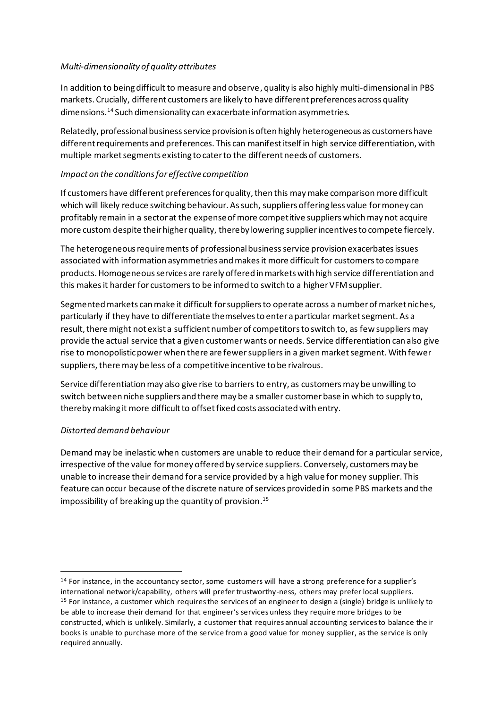### *Multi-dimensionality of quality attributes*

In addition to being difficult to measure and observe, quality is also highly multi-dimensional in PBS markets. Crucially, different customers are likely to have different preferences across quality dimensions.<sup>14</sup> Such dimensionality can exacerbate information asymmetries.

Relatedly, professional businessservice provision is often highly heterogeneous as customers have different requirements and preferences. This can manifest itself in high service differentiation, with multiple market segments existing to cater to the different needs of customers.

### *Impact on the conditions for effective competition*

If customers have different preferences for quality, then this may make comparison more difficult which will likely reduce switching behaviour. As such, suppliers offering less value for money can profitably remain in a sector at the expense of more competitive suppliers which may not acquire more custom despite their higher quality, thereby lowering supplierincentives to compete fiercely.

The heterogeneous requirements of professional business service provision exacerbates issues associated with information asymmetries and makes it more difficult for customers to compare products. Homogeneous services are rarely offered in markets with high service differentiation and this makes it harder for customers to be informed to switch to a higher VFM supplier.

Segmented markets can make it difficult for suppliers to operate across a number of market niches, particularly if they have to differentiate themselves to enter a particular market segment. As a result, there might not exist a sufficient number of competitors to switch to, as few suppliers may provide the actual service that a given customer wants or needs. Service differentiation can also give rise to monopolistic power when there are fewer suppliers in a given market segment. With fewer suppliers, there may be less of a competitive incentive to be rivalrous.

Service differentiation may also give rise to barriers to entry, as customers may be unwilling to switch between niche suppliers and there may be a smaller customer base in which to supply to, thereby making it more difficult to offset fixed costs associated with entry.

### *Distorted demand behaviour*

Demand may be inelastic when customers are unable to reduce their demand for a particular service, irrespective of the value for money offered by service suppliers. Conversely, customers may be unable to increase their demand for a service provided by a high value for money supplier. This feature can occur because of the discrete nature of services provided in some PBS markets and the impossibility of breaking up the quantity of provision. 15

<sup>&</sup>lt;sup>14</sup> For instance, in the accountancy sector, some customers will have a strong preference for a supplier's international network/capability, others will prefer trustworthy-ness, others may prefer local suppliers.  $15$  For instance, a customer which requires the services of an engineer to design a (single) bridge is unlikely to be able to increase their demand for that engineer's services unless they require more bridges to be constructed, which is unlikely. Similarly, a customer that requires annual accounting services to balance their books is unable to purchase more of the service from a good value for money supplier, as the service is only required annually.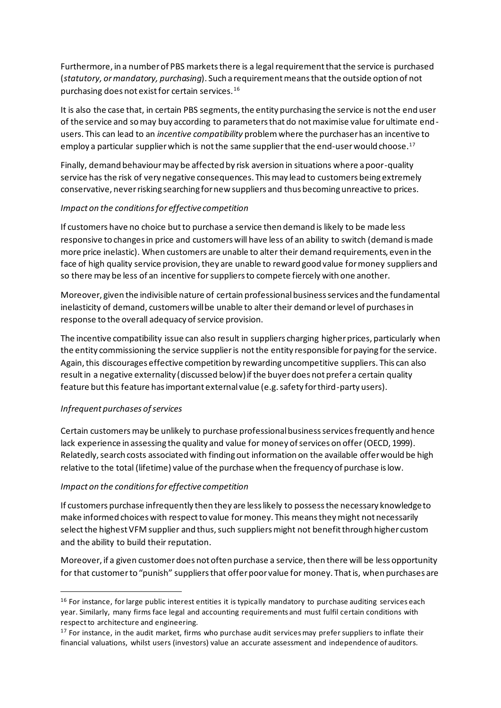Furthermore, in a number of PBS markets there is a legal requirement that the service is purchased (*statutory, or mandatory, purchasing*). Such a requirement means thatthe outside option of not purchasing does not exist for certain services.<sup>16</sup>

It is also the case that, in certain PBS segments, the entity purchasing the service is not the end user of the service and so may buy according to parameters that do not maximise value for ultimate endusers. This can lead to an *incentive compatibility* problemwhere the purchaser has an incentive to employ a particular supplier which is not the same supplier that the end-user would choose.<sup>17</sup>

Finally, demand behaviour may be affected by risk aversion in situations where a poor-quality service has the risk of very negative consequences. This may lead to customers being extremely conservative, never risking searching for new suppliers and thus becoming unreactive to prices.

### *Impact on the conditions for effective competition*

If customers have no choice but to purchase a service then demand is likely to be made less responsive to changes in price and customers will have less of an ability to switch (demand is made more price inelastic). When customers are unable to alter their demand requirements, even in the face of high quality service provision, they are unable to reward good value for money suppliers and so there may be less of an incentive for suppliers to compete fiercely with one another.

Moreover, given the indivisible nature of certain professional business services and the fundamental inelasticity of demand, customers will be unable to alter their demand or level of purchases in response to the overall adequacy of service provision.

The incentive compatibility issue can also result in suppliers charging higher prices, particularly when the entity commissioning the service supplieris not the entity responsible for paying for the service. Again, this discourages effective competition by rewarding uncompetitive suppliers. This can also result in a negative externality (discussed below) if the buyer does not prefer a certain quality feature but this feature has important external value (e.g. safety for third-party users).

### *Infrequent purchases of services*

Certain customers may be unlikely to purchase professional business services frequently and hence lack experience in assessing the quality and value for money of services on offer(OECD, 1999). Relatedly, search costs associated with finding out information on the available offer would be high relative to the total (lifetime) value of the purchase when the frequency of purchase is low.

#### *Impact on the conditions for effective competition*

If customers purchase infrequently then they are less likely to possess the necessary knowledge to make informed choices with respect to value for money. This means they might not necessarily select the highest VFM supplier and thus, such suppliers might not benefit through higher custom and the ability to build their reputation.

Moreover, if a given customer does not often purchase a service, then there will be less opportunity for that customer to "punish" suppliers that offer poor value for money. That is, when purchases are

<sup>&</sup>lt;sup>16</sup> For instance, for large public interest entities it is typically mandatory to purchase auditing services each year. Similarly, many firms face legal and accounting requirements and must fulfil certain conditions with respect to architecture and engineering.

 $17$  For instance, in the audit market, firms who purchase audit services may prefer suppliers to inflate their financial valuations, whilst users (investors) value an accurate assessment and independence of auditors.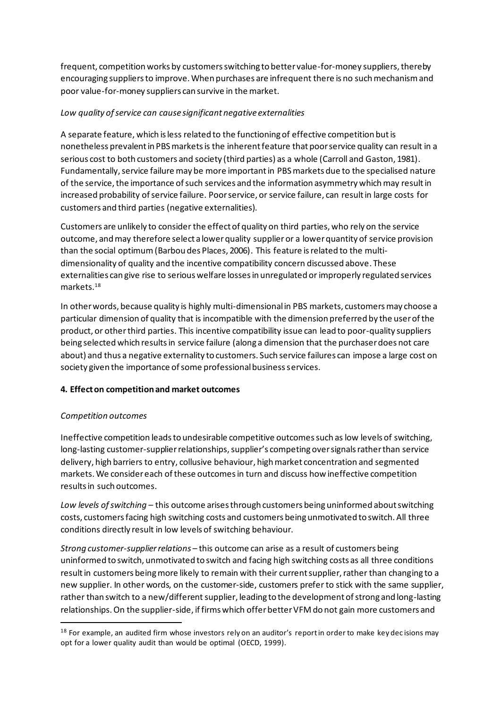frequent, competition works by customers switching to better value-for-money suppliers, thereby encouraging suppliers to improve. When purchases are infrequent there is no such mechanism and poor value-for-money suppliers can survive in the market.

### *Low quality of service can cause significant negative externalities*

A separate feature, which is less related to the functioning of effective competition but is nonetheless prevalent in PBS markets is the inherent feature that poor service quality can result in a serious cost to both customers and society (third parties) as a whole (Carroll and Gaston, 1981). Fundamentally, service failure may be more important in PBS markets due to the specialised nature of the service, the importance of such services and the information asymmetry which may result in increased probability of service failure. Poor service, or service failure, can result in large costs for customers and third parties (negative externalities).

Customers are unlikely to consider the effect of quality on third parties, who rely on the service outcome, and may therefore select a lower quality supplieror a lower quantity of service provision than the social optimum(Barbou des Places, 2006). This feature is related to the multidimensionality of quality and the incentive compatibility concern discussed above. These externalities can give rise to serious welfare losses in unregulated or improperly regulated services markets.<sup>18</sup>

In other words, because quality is highly multi-dimensional in PBS markets, customers may choose a particular dimension of quality that is incompatible with the dimension preferred by the user of the product, or other third parties. This incentive compatibility issue can lead to poor-quality suppliers being selected which results in service failure (along a dimension that the purchaser does not care about) and thus a negative externality to customers. Such service failures can impose a large cost on society given the importance of some professional business services.

### **4. Effect on competitionand market outcomes**

### *Competition outcomes*

Ineffective competition leads to undesirable competitive outcomes such as low levels of switching, long-lasting customer-supplier relationships, supplier's competing over signals rather than service delivery, high barriers to entry, collusive behaviour, high market concentration and segmented markets. We consider each of these outcomes in turn and discuss how ineffective competition results in such outcomes.

*Low levels of switching –* this outcome arises through customers being uninformed about switching costs, customers facing high switching costs and customers being unmotivated to switch. All three conditions directly result in low levels of switching behaviour.

*Strong customer-supplierrelations* – this outcome can arise as a result of customers being uninformed to switch, unmotivated to switch and facing high switching costs as all three conditions result in customers being more likely to remain with their current supplier, rather than changing to a new supplier. In other words, on the customer-side, customers prefer to stick with the same supplier, rather than switch to a new/different supplier, leading to the development of strong and long-lasting relationships. On the supplier-side, if firms which offer better VFM do not gain more customers and

<sup>&</sup>lt;sup>18</sup> For example, an audited firm whose investors rely on an auditor's report in order to make key dec isions may opt for a lower quality audit than would be optimal (OECD, 1999).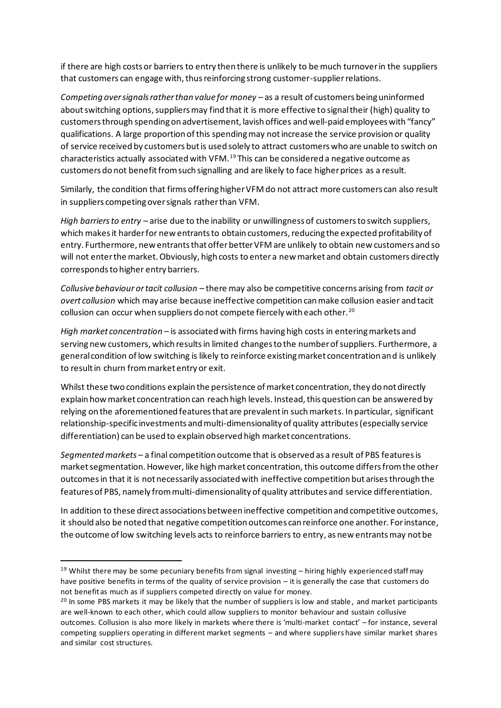if there are high costs or barriers to entry then there is unlikely to be much turnover in the suppliers that customers can engage with, thus reinforcing strong customer-supplierrelations.

*Competing over signals rather than value for money* – as a result of customers being uninformed about switching options, suppliers may find that it is more effective to signal their (high) quality to customers through spending on advertisement, lavish offices and well-paid employees with "fancy" qualifications. A large proportion of this spending may not increase the service provision or quality of service received by customers but is used solely to attract customers who are unable to switch on characteristics actually associated with VFM.<sup>19</sup> This can be considered a negative outcome as customers do not benefit from such signalling and are likely to face higher prices as a result.

Similarly, the condition that firms offering higher VFM do not attract more customers can also result in suppliers competing over signals rather than VFM.

*High barriers to entry* – arise due to the inability or unwillingness of customers to switch suppliers, which makes it harder for new entrants to obtain customers, reducing the expected profitability of entry. Furthermore, new entrants that offer better VFM are unlikely to obtain new customers and so will not enter the market. Obviously, high costs to enter a new market and obtain customers directly corresponds to higher entry barriers.

*Collusive behaviour or tacit collusion* – there may also be competitive concerns arising from *tacit or overt collusion* which may arise because ineffective competition can make collusion easier and tacit collusion can occur when suppliers do not compete fiercely with each other.<sup>20</sup>

*High market concentration –* is associated with firms having high costs in entering markets and serving new customers, which results in limited changes to the number of suppliers. Furthermore, a general condition of low switching is likely to reinforce existing market concentration and is unlikely to result in churn from market entry or exit.

Whilst these two conditions explain the persistence of market concentration, they do not directly explain how market concentration can reach high levels. Instead, this question can be answered by relying on the aforementioned features that are prevalent in such markets. In particular, significant relationship-specific investments and multi-dimensionality of quality attributes (especially service differentiation) can be used to explain observed high market concentrations.

*Segmented markets* – a final competition outcome that is observed as a result of PBS features is market segmentation. However, like high market concentration, this outcome differs from the other outcomesin that it is not necessarily associated with ineffective competition but arises through the features of PBS, namely from multi-dimensionality of quality attributes and service differentiation.

In addition to these direct associations between ineffective competition and competitive outcomes, it should also be noted that negative competition outcomes can reinforce one another. For instance, the outcome of low switching levels acts to reinforce barriers to entry, as new entrants may not be

<sup>&</sup>lt;sup>19</sup> Whilst there may be some pecuniary benefits from signal investing  $-$  hiring highly experienced staff may have positive benefits in terms of the quality of service provision – it is generally the case that customers do not benefit as much as if suppliers competed directly on value for money.

<sup>&</sup>lt;sup>20</sup> In some PBS markets it may be likely that the number of suppliers is low and stable, and market participants are well-known to each other, which could allow suppliers to monitor behaviour and sustain collusive outcomes. Collusion is also more likely in markets where there is 'multi-market contact' – for instance, several competing suppliers operating in different market segments – and where suppliers have similar market shares and similar cost structures.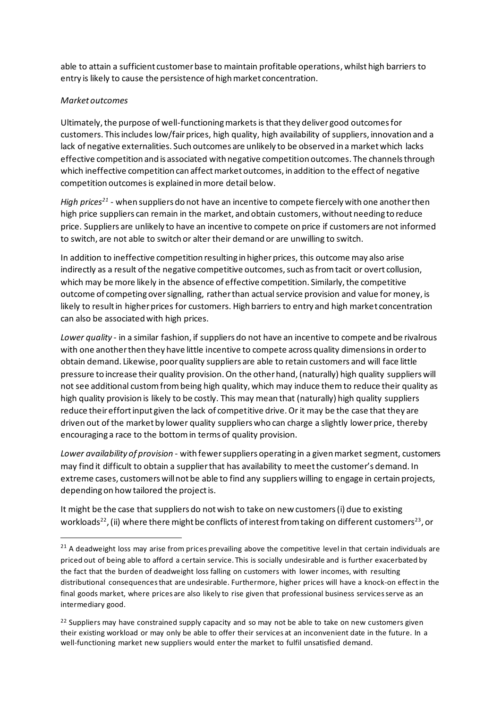able to attain a sufficient customer base to maintain profitable operations, whilst high barriers to entry is likely to cause the persistence of high market concentration.

### *Market outcomes*

Ultimately, the purpose of well-functioning markets is that they deliver good outcomes for customers. This includes low/fair prices, high quality, high availability of suppliers, innovation and a lack of negative externalities. Such outcomes are unlikely to be observed in a market which lacks effective competition and is associated with negative competition outcomes. The channels through which ineffective competition can affect market outcomes, in addition to the effect of negative competition outcomes is explained in more detail below.

*High prices<sup>21</sup>* - when suppliers do not have an incentive to compete fiercely with one another then high price suppliers can remain in the market, and obtain customers, without needing to reduce price. Suppliers are unlikely to have an incentive to compete on price if customers are not informed to switch, are not able to switch or alter their demand or are unwilling to switch.

In addition to ineffective competition resulting in higher prices, this outcome may also arise indirectly as a result of the negative competitive outcomes, such as from tacit or overt collusion, which may be more likely in the absence of effective competition. Similarly, the competitive outcome of competing over signalling, rather than actual service provision and value for money, is likely to result in higher prices for customers. High barriers to entry and high market concentration can also be associated with high prices.

*Lower quality* - in a similar fashion, if suppliers do not have an incentive to compete and be rivalrous with one another then they have little incentive to compete across quality dimensions in order to obtain demand. Likewise, poor quality suppliers are able to retain customers and will face little pressure to increase their quality provision. On the other hand, (naturally) high quality suppliers will not see additional custom from being high quality, which may induce them to reduce their quality as high quality provision is likely to be costly. This may mean that (naturally) high quality suppliers reduce their effort input given the lack of competitive drive. Or it may be the case that they are driven out of the market by lower quality suppliers who can charge a slightly lower price, thereby encouraging a race to the bottom in terms of quality provision.

*Lower availability of provision* - with fewer suppliers operating in a given market segment, customers may find it difficult to obtain a supplierthat has availability to meet the customer's demand. In extreme cases, customers will not be able to find any suppliers willing to engage in certain projects, depending on how tailored the project is.

It might be the case that suppliers do not wish to take on new customers (i) due to existing workloads<sup>22</sup>, (ii) where there might be conflicts of interest from taking on different customers<sup>23</sup>, or

 $21$  A deadweight loss may arise from prices prevailing above the competitive level in that certain individuals are priced out of being able to afford a certain service. This is socially undesirable and is further exacerbated by the fact that the burden of deadweight loss falling on customers with lower incomes, with resulting distributional consequences that are undesirable. Furthermore, higher prices will have a knock-on effect in the final goods market, where prices are also likely to rise given that professional business services serve as an intermediary good.

<sup>&</sup>lt;sup>22</sup> Suppliers may have constrained supply capacity and so may not be able to take on new customers given their existing workload or may only be able to offer their services at an inconvenient date in the future. In a well-functioning market new suppliers would enter the market to fulfil unsatisfied demand.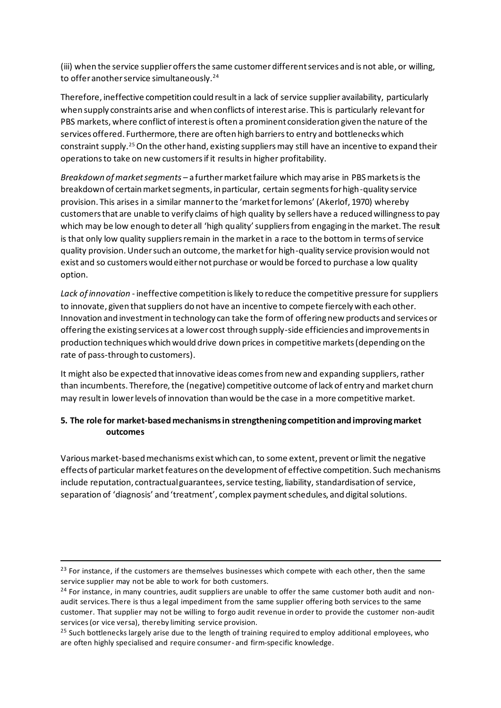(iii) when the service supplieroffers the same customer different services and is not able, or willing, to offer another service simultaneously.<sup>24</sup>

Therefore, ineffective competition could result in a lack of service supplier availability, particularly when supply constraints arise and when conflicts of interest arise. This is particularly relevant for PBS markets, where conflict of interest is often a prominent consideration given the nature of the services offered. Furthermore, there are often high barriers to entry and bottlenecks which constraint supply.<sup>25</sup> On the other hand, existing suppliers may still have an incentive to expand their operations to take on new customers if it results in higher profitability.

*Breakdown of market segments* – a furthermarket failure which may arise in PBS markets is the breakdown of certain market segments, in particular, certain segments for high-quality service provision. This arises in a similar manner to the 'market for lemons' (Akerlof, 1970) whereby customers that are unable to verify claims of high quality by sellers have a reduced willingness to pay which may be low enough to deter all 'high quality' suppliers from engaging in the market. The result is that only low quality suppliers remain in the market in a race to the bottom in terms of service quality provision. Under such an outcome, the market for high-quality service provision would not exist and so customers would either not purchase or would be forced to purchase a low quality option.

*Lack of innovation* - ineffective competition is likely to reduce the competitive pressure for suppliers to innovate, given that suppliers do not have an incentive to compete fiercely with each other. Innovation and investment in technology can take the form of offering new products and services or offering the existing services at a lower cost through supply-side efficiencies and improvements in production techniques which would drive down prices in competitive markets (depending on the rate of pass-through to customers).

It might also be expected that innovative ideas comes from new and expanding suppliers, rather than incumbents. Therefore, the (negative) competitive outcome of lack of entry and market churn may result in lower levels of innovation than would be the case in a more competitive market.

### **5. The role for market-basedmechanisms in strengthening competition and improving market outcomes**

Various market-based mechanisms exist which can, to some extent, prevent or limit the negative effects of particular market features on the development of effective competition. Such mechanisms include reputation, contractual guarantees, service testing, liability, standardisation of service, separation of 'diagnosis' and 'treatment', complex payment schedules, and digital solutions.

<sup>&</sup>lt;sup>23</sup> For instance, if the customers are themselves businesses which compete with each other, then the same service supplier may not be able to work for both customers.

<sup>&</sup>lt;sup>24</sup> For instance, in many countries, audit suppliers are unable to offer the same customer both audit and nonaudit services. There is thus a legal impediment from the same supplier offering both services to the same customer. That supplier may not be willing to forgo audit revenue in order to provide the customer non-audit services (or vice versa), thereby limiting service provision.

<sup>&</sup>lt;sup>25</sup> Such bottlenecks largely arise due to the length of training required to employ additional employees, who are often highly specialised and require consumer- and firm-specific knowledge.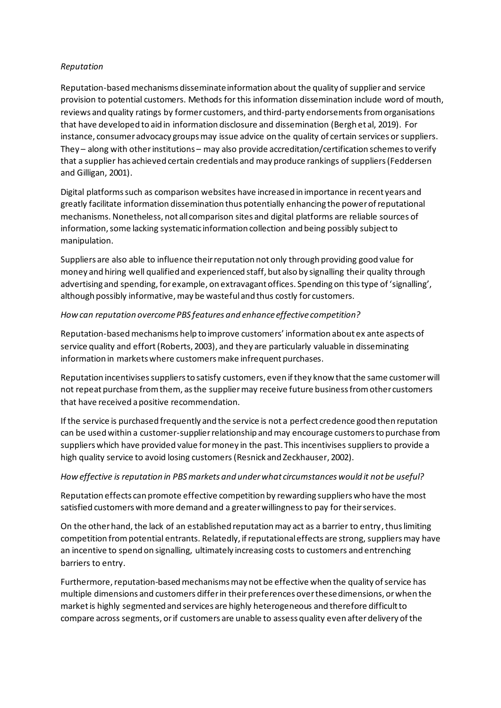### *Reputation*

Reputation-based mechanisms disseminate information about the quality of supplier and service provision to potential customers. Methods for this information dissemination include word of mouth, reviews and quality ratings by former customers, and third-party endorsementsfrom organisations that have developed to aid in information disclosure and dissemination (Bergh et al, 2019). For instance, consumer advocacy groups may issue advice on the quality of certain services or suppliers. They – along with other institutions – may also provide accreditation/certification schemes to verify that a supplier has achieved certain credentials and may produce rankings of suppliers(Feddersen and Gilligan, 2001).

Digital platforms such as comparison websites have increased in importance in recent years and greatly facilitate information dissemination thus potentially enhancing the power of reputational mechanisms. Nonetheless, not all comparison sites and digital platforms are reliable sources of information,some lacking systematic information collection and being possibly subject to manipulation.

Suppliers are also able to influence their reputation not only through providing good value for money and hiring well qualified and experienced staff, but also by signalling their quality through advertising and spending, for example, on extravagant offices. Spending on thistype of 'signalling', although possibly informative, may be wasteful and thus costly for customers.

#### *How can reputation overcome PBS features and enhance effective competition?*

Reputation-based mechanisms help to improve customers' information about ex ante aspects of service quality and effort(Roberts, 2003), and they are particularly valuable in disseminating information in markets where customers make infrequent purchases.

Reputation incentivises suppliers to satisfy customers, even if they know that the same customer will not repeat purchase from them, as the suppliermay receive future business from other customers that have received a positive recommendation.

If the service is purchased frequently and the service is not a perfect credence good then reputation can be used within a customer-supplierrelationship and may encourage customers to purchase from suppliers which have provided value for money in the past. This incentivises suppliers to provide a high quality service to avoid losing customers(Resnick and Zeckhauser, 2002).

### *How effective is reputation in PBS markets and under what circumstances would it not be useful?*

Reputation effects can promote effective competition by rewarding suppliers who have the most satisfied customers with more demand and a greater willingness to pay for their services.

On the other hand, the lack of an established reputation may act as a barrier to entry, thus limiting competition from potential entrants. Relatedly, if reputational effects are strong, suppliers may have an incentive to spend on signalling, ultimately increasing costs to customers and entrenching barriers to entry.

Furthermore, reputation-based mechanisms may not be effective when the quality of service has multiple dimensions and customers differ in their preferences over these dimensions, or when the market is highly segmented and services are highly heterogeneous and therefore difficult to compare across segments, or if customers are unable to assess quality even after delivery of the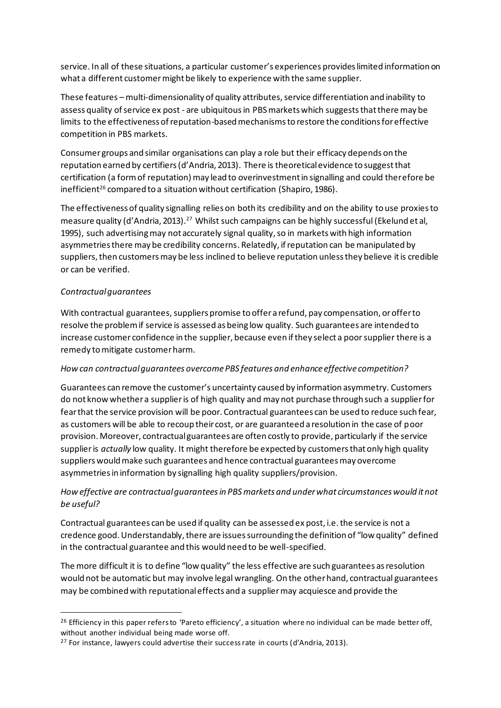service. In all of these situations, a particular customer's experiences provides limited information on what a different customer might be likely to experience with the same supplier.

These features – multi-dimensionality of quality attributes, service differentiation and inability to assess quality of service ex post - are ubiquitousin PBS markets which suggests that there may be limits to the effectiveness of reputation-based mechanisms to restore the conditions for effective competition in PBS markets.

Consumer groups and similar organisations can play a role but their efficacy depends on the reputation earned by certifiers(d'Andria, 2013). There is theoretical evidence to suggest that certification (a form of reputation) may lead to overinvestment in signalling and could therefore be inefficient<sup>26</sup> compared to a situation without certification (Shapiro, 1986).

The effectiveness of quality signalling relies on both its credibility and on the ability to use proxies to measure quality (d'Andria, 2013).<sup>27</sup> Whilst such campaigns can be highly successful (Ekelund et al, 1995), such advertising may not accurately signal quality, so in markets with high information asymmetries there may be credibility concerns. Relatedly, if reputation can be manipulated by suppliers, then customers may be less inclined to believe reputation unless they believe it is credible or can be verified.

### *Contractual guarantees*

With contractual guarantees, suppliers promise to offer a refund, pay compensation, or offer to resolve the problem if service is assessed as being low quality. Such guarantees are intended to increase customer confidence in the supplier, because even if they select a poor supplier there is a remedy to mitigate customer harm.

### *How can contractual guarantees overcome PBS features and enhance effective competition?*

Guarantees can remove the customer's uncertainty caused by information asymmetry. Customers do not know whether a supplieris of high quality and may not purchase through such a supplierfor fear that the service provision will be poor. Contractual guarantees can be used to reduce such fear, as customers will be able to recoup their cost, or are guaranteed a resolution in the case of poor provision. Moreover, contractual guarantees are often costly to provide, particularly if the service supplieris *actually* low quality. It might therefore be expected by customers that only high quality suppliers would make such guarantees and hence contractual guarantees may overcome asymmetries in information by signalling high quality suppliers/provision.

# *How effective are contractual guarantees in PBS markets and under what circumstances would it not be useful?*

Contractual guarantees can be used if quality can be assessed ex post, i.e. the service is not a credence good. Understandably, there are issues surrounding the definition of "low quality" defined in the contractual guarantee and this would need to be well-specified.

The more difficult it is to define "low quality" the less effective are such guarantees as resolution would not be automatic but may involve legal wrangling. On the other hand, contractual guarantees may be combined with reputational effects and a suppliermay acquiesce and provide the

 $^{26}$  Efficiency in this paper refers to 'Pareto efficiency', a situation where no individual can be made better off, without another individual being made worse off.

<sup>&</sup>lt;sup>27</sup> For instance, lawyers could advertise their success rate in courts (d'Andria, 2013).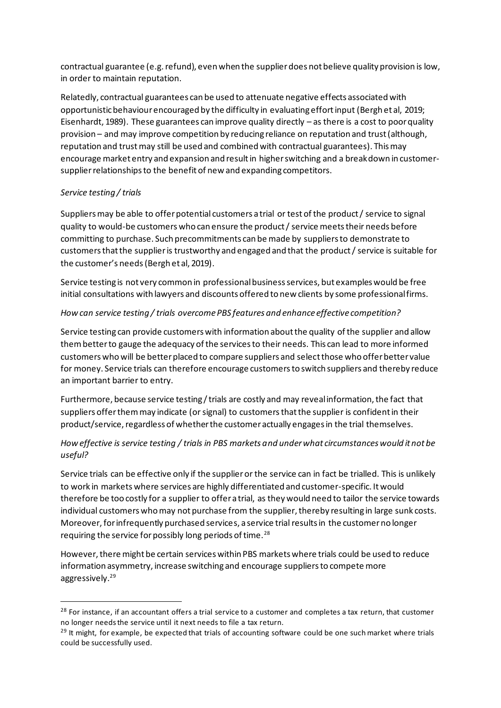contractual guarantee (e.g. refund), even when the supplierdoes not believe quality provision is low, in order to maintain reputation.

Relatedly, contractual guarantees can be used to attenuate negative effects associated with opportunistic behaviour encouraged by the difficulty in evaluating effort input (Bergh et al, 2019; Eisenhardt, 1989). These guarantees can improve quality directly – as there is a cost to poor quality provision – and may improve competition by reducing reliance on reputation and trust (although, reputation and trust may still be used and combined with contractual guarantees). This may encourage market entry and expansion and result in higher switching and a breakdown in customersupplier relationships to the benefit of new and expanding competitors.

### *Service testing / trials*

Suppliersmay be able to offer potential customers a trial or test of the product / service to signal quality to would-be customers who can ensure the product / service meets their needs before committing to purchase. Such precommitments can be made by suppliers to demonstrate to customers that the supplieris trustworthy and engaged and that the product / service is suitable for the customer's needs(Bergh et al, 2019).

Service testing is not very common in professionalbusinessservices, but examples would be free initial consultations with lawyers and discounts offered to new clients by some professional firms.

### *How can service testing / trials overcome PBS features and enhance effective competition?*

Service testing can provide customers with information about the quality of the supplier and allow them better to gauge the adequacy of the services to their needs. This can lead to more informed customers who will be better placed to compare suppliers and select those who offer better value for money. Service trials can therefore encourage customers to switch suppliers and thereby reduce an important barrier to entry.

Furthermore, because service testing / trials are costly and may reveal information, the fact that suppliers offer them may indicate (or signal) to customers that the supplier is confident in their product/service, regardless of whether the customer actually engages in the trial themselves.

# *How effective is service testing / trials in PBS markets and under what circumstances would it not be useful?*

Service trials can be effective only if the supplier or the service can in fact be trialled. This is unlikely to work in markets where services are highly differentiated and customer-specific. It would therefore be too costly for a supplier to offer a trial, as they would need to tailor the service towards individual customers who may not purchase from the supplier, thereby resulting in large sunk costs. Moreover, for infrequently purchased services, a service trial results in the customer no longer requiring the service for possibly long periods of time.<sup>28</sup>

However, there might be certain services within PBS markets where trials could be used to reduce information asymmetry, increase switching and encourage suppliers to compete more aggressively. 29

<sup>&</sup>lt;sup>28</sup> For instance, if an accountant offers a trial service to a customer and completes a tax return, that customer no longer needs the service until it next needs to file a tax return.

<sup>&</sup>lt;sup>29</sup> It might, for example, be expected that trials of accounting software could be one such market where trials could be successfully used.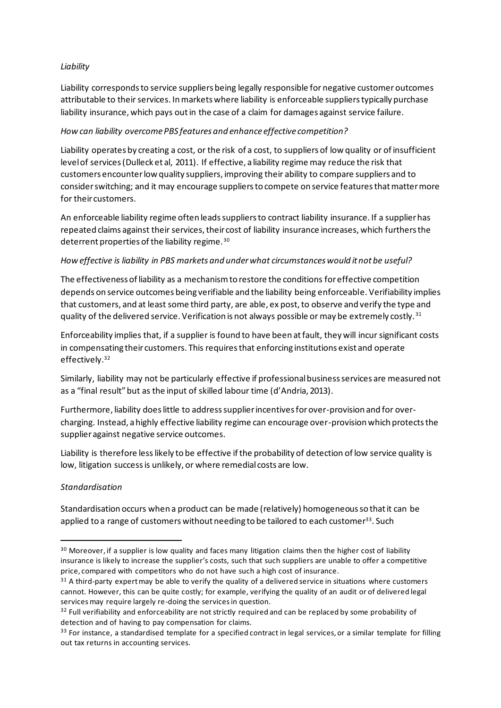### *Liability*

Liability corresponds to service suppliers being legally responsible for negative customer outcomes attributable to their services. In markets where liability is enforceable suppliers typically purchase liability insurance, which pays out in the case of a claim for damages against service failure.

### *How can liability overcome PBS features and enhance effective competition?*

Liability operates by creating a cost, or the risk of a cost, to suppliers of low quality or of insufficient level of services (Dulleck et al, 2011). If effective, a liability regime may reduce the risk that customers encounter low quality suppliers, improving their ability to compare suppliers and to consider switching; and it may encourage suppliers to compete on service features that matter more for their customers.

An enforceable liability regime often leads suppliers to contract liability insurance. If a supplier has repeated claims against their services, their cost of liability insurance increases, which furthers the deterrent properties of the liability regime. $^{\rm 30}$ 

### *How effective is liability in PBS markets and under what circumstances would it not be useful?*

The effectiveness of liability as a mechanism to restore the conditions for effective competition depends on service outcomes being verifiable and the liability being enforceable. Verifiability implies that customers, and at least some third party, are able, ex post,to observe and verify the type and quality of the delivered service. Verification is not always possible or may be extremely costly.<sup>31</sup>

Enforceability implies that, if a supplier is found to have been at fault, they will incur significant costs in compensating their customers. This requires that enforcing institutions exist and operate effectively.<sup>32</sup>

Similarly, liability may not be particularly effective if professional business services are measured not as a "final result" but as the input of skilled labour time (d'Andria, 2013).

Furthermore, liability doeslittle to address supplier incentives for over-provision and for overcharging. Instead, a highly effective liability regime can encourage over-provision which protects the supplier against negative service outcomes.

Liability is therefore less likely to be effective if the probability of detection of low service quality is low, litigation success is unlikely, or where remedial costs are low.

### *Standardisation*

Standardisation occurs when a product can be made (relatively) homogeneous so that it can be applied to a range of customers without needing to be tailored to each customer<sup>33</sup>. Such

<sup>30</sup> Moreover, if a supplier is low quality and faces many litigation claims then the higher cost of liability insurance is likely to increase the supplier's costs, such that such suppliers are unable to offer a competitive price, compared with competitors who do not have such a high cost of insurance.

<sup>&</sup>lt;sup>31</sup> A third-party expert may be able to verify the quality of a delivered service in situations where customers cannot. However, this can be quite costly; for example, verifying the quality of an audit or of delivered legal services may require largely re-doing the services in question.

<sup>&</sup>lt;sup>32</sup> Full verifiability and enforceability are not strictly required and can be replaced by some probability of detection and of having to pay compensation for claims.

<sup>&</sup>lt;sup>33</sup> For instance, a standardised template for a specified contract in legal services, or a similar template for filling out tax returns in accounting services.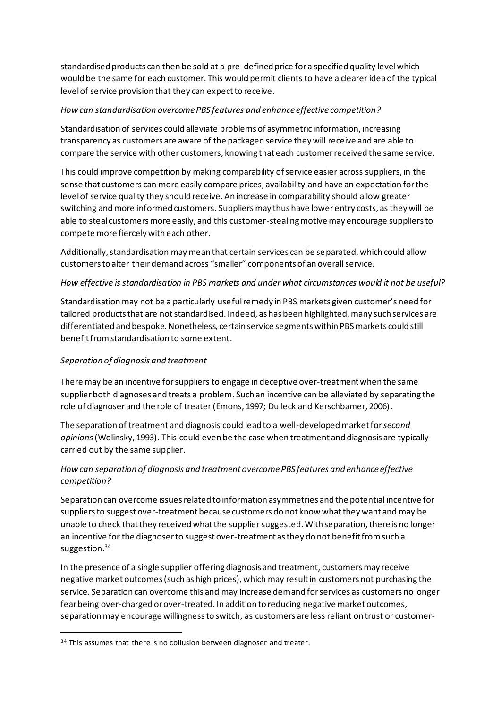standardised products can then be sold at a pre-defined price for a specified quality level which would be the same for each customer. This would permit clients to have a clearer idea of the typical level of service provision that they can expect to receive.

### *How can standardisation overcome PBS features and enhance effective competition?*

Standardisation of services could alleviate problems of asymmetric information, increasing transparency as customers are aware of the packaged service they will receive and are able to compare the service with other customers, knowing that each customer received the same service.

This could improve competition by making comparability of service easier across suppliers, in the sense that customers can more easily compare prices, availability and have an expectation for the level of service quality they should receive. An increase in comparability should allow greater switching and more informed customers. Suppliers may thus have lower entry costs, as they will be able to steal customers more easily, and this customer-stealing motive may encourage suppliers to compete more fiercely with each other.

Additionally, standardisation may mean that certain services can be separated, which could allow customers to alter their demand across "smaller" components of an overall service.

### *How effective is standardisation in PBS markets and under what circumstances would it not be useful?*

Standardisation may not be a particularly useful remedy in PBS markets given customer's need for tailored products that are not standardised. Indeed, as has been highlighted, many such services are differentiated and bespoke. Nonetheless, certain service segments within PBS markets could still benefit from standardisation to some extent.

### *Separation of diagnosis and treatment*

There may be an incentive for suppliers to engage in deceptive over-treatment when the same supplier both diagnoses and treats a problem. Such an incentive can be alleviated by separating the role of diagnoser and the role of treater(Emons, 1997; Dulleck and Kerschbamer, 2006).

The separation of treatment and diagnosis could lead to a well-developed market for *second opinions*(Wolinsky, 1993). This could even be the case when treatment and diagnosis are typically carried out by the same supplier.

# *How can separation of diagnosis and treatment overcome PBS features and enhance effective competition?*

Separation can overcome issues related to information asymmetries and the potential incentive for suppliers to suggest over-treatment because customers do not know what they want and may be unable to check that they received what the supplier suggested. With separation, there is no longer an incentive for the diagnoser to suggest over-treatment as they do not benefit from such a suggestion.<sup>34</sup>

In the presence of a single supplier offering diagnosis and treatment, customers may receive negative market outcomes (such as high prices), which may result in customers not purchasing the service. Separation can overcome this and may increase demand for services as customers no longer fear being over-charged or over-treated. In addition to reducing negative market outcomes, separation may encourage willingness to switch, as customers are less reliant on trust or customer-

<sup>&</sup>lt;sup>34</sup> This assumes that there is no collusion between diagnoser and treater.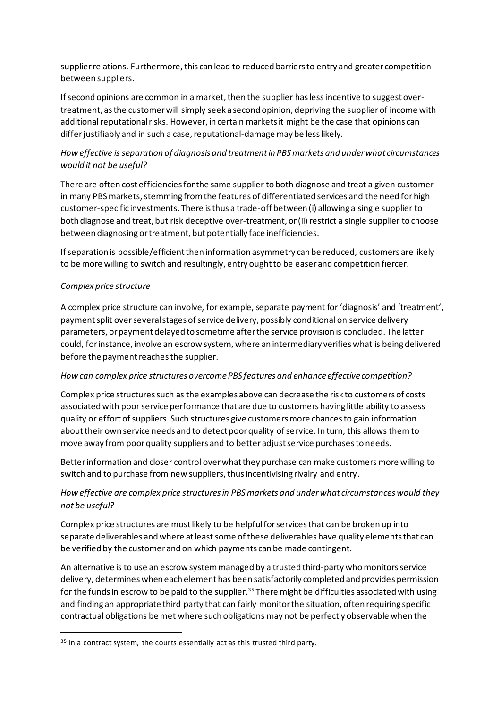supplierrelations. Furthermore, this can lead to reduced barriers to entry and greater competition between suppliers.

If second opinions are common in a market, then the supplier has less incentive to suggest overtreatment, as the customer will simply seek a second opinion, depriving the supplierof income with additional reputational risks. However, in certain markets it might be the case that opinions can differ justifiably and in such a case, reputational-damage may be less likely.

# *How effective is separation of diagnosis and treatment in PBS markets and under what circumstances would it not be useful?*

There are often cost efficiencies for the same supplier to both diagnose and treat a given customer in many PBS markets, stemming from the features of differentiated services and the need for high customer-specific investments. There is thus a trade-off between (i) allowing a single supplier to both diagnose and treat, but risk deceptive over-treatment, or (ii) restrict a single supplier to choose between diagnosing or treatment, but potentially face inefficiencies.

If separation is possible/efficient then information asymmetry can be reduced, customers are likely to be more willing to switch and resultingly, entry ought to be easer and competition fiercer.

### *Complex price structure*

A complex price structure can involve, for example, separate payment for 'diagnosis' and 'treatment', payment split over several stages of service delivery, possibly conditional on service delivery parameters, or payment delayed to sometime after the service provision is concluded. The latter could, for instance, involve an escrow system, where an intermediary verifies what is being delivered before the payment reaches the supplier.

### *How can complex price structures overcome PBS features and enhance effective competition?*

Complex price structures such as the examples above can decrease the risk to customers of costs associated with poor service performance that are due to customers having little ability to assess quality or effort of suppliers. Such structures give customers more chances to gain information about their own service needs and to detect poor quality of service. In turn, this allows them to move away from poor quality suppliers and to better adjust service purchases to needs.

Better information and closer control over what they purchase can make customers more willing to switch and to purchase from new suppliers, thus incentivising rivalry and entry.

# *How effective are complex price structuresin PBS markets and under what circumstances would they not be useful?*

Complex price structures are most likely to be helpful for services that can be broken up into separate deliverables and where at least some of these deliverables have quality elements that can be verified by the customer and on which payments can be made contingent.

An alternative is to use an escrow system managed by a trusted third-party whomonitorsservice delivery, determines when each element has been satisfactorily completed and provides permission for the funds in escrow to be paid to the supplier. <sup>35</sup> There might be difficulties associated with using and finding an appropriate third party that can fairly monitor the situation, often requiring specific contractual obligations be met where such obligations may not be perfectly observable when the

<sup>&</sup>lt;sup>35</sup> In a contract system, the courts essentially act as this trusted third party.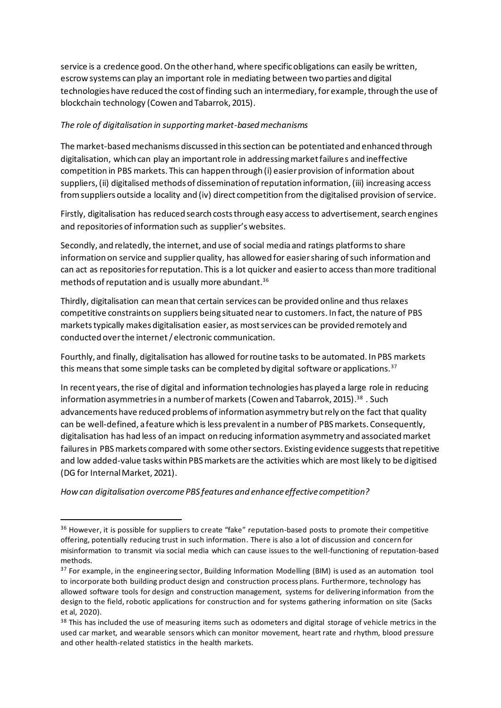service is a credence good. On the other hand, where specific obligations can easily be written, escrow systems can play an important role in mediating between two parties and digital technologies have reduced the cost of finding such an intermediary, for example, through the use of blockchain technology (Cowen and Tabarrok, 2015).

#### *The role of digitalisation in supporting market-based mechanisms*

The market-based mechanisms discussed in this section can be potentiated and enhanced through digitalisation, which can play an important role in addressing market failures and ineffective competition in PBS markets. This can happen through (i) easier provision of information about suppliers, (ii) digitalised methods of dissemination of reputation information, (iii) increasing access from suppliers outside a locality and (iv) direct competition from the digitalised provision of service.

Firstly, digitalisation has reduced search costs through easy access to advertisement, search engines and repositories of information such as supplier's websites.

Secondly, and relatedly, the internet, and use of social media and ratings platforms to share information on service and supplier quality, has allowed for easier sharing of such information and can act as repositories for reputation. This is a lot quicker and easier to access than more traditional methods of reputation and is usually more abundant. $^{\rm 36}$ 

Thirdly, digitalisation can mean that certain services can be provided online and thus relaxes competitive constraints on suppliers being situated near to customers. In fact, the nature of PBS markets typically makes digitalisation easier, as most services can be provided remotely and conducted over the internet / electronic communication.

Fourthly, and finally, digitalisation has allowed for routine tasks to be automated. In PBS markets this means that some simple tasks can be completed by digital software or applications.<sup>37</sup>

In recent years, the rise of digital and information technologies has played a large role in reducing information asymmetries in a number of markets(Cowen and Tabarrok, 2015). <sup>38</sup> . Such advancements have reduced problems of information asymmetry but rely on the fact that quality can be well-defined, a feature which is less prevalent in a number of PBS markets. Consequently, digitalisation has had less of an impact on reducing information asymmetry and associated market failures in PBS markets compared with some other sectors. Existing evidence suggests that repetitive and low added-value tasks within PBS markets are the activities which are most likely to be digitised (DG for Internal Market, 2021).

*How can digitalisation overcome PBS features and enhance effective competition?*

<sup>&</sup>lt;sup>36</sup> However, it is possible for suppliers to create "fake" reputation-based posts to promote their competitive offering, potentially reducing trust in such information. There is also a lot of discussion and concern for misinformation to transmit via social media which can cause issues to the well-functioning of reputation-based methods.

<sup>&</sup>lt;sup>37</sup> For example, in the engineering sector, Building Information Modelling (BIM) is used as an automation tool to incorporate both building product design and construction process plans. Furthermore, technology has allowed software tools for design and construction management, systems for delivering information from the design to the field, robotic applications for construction and for systems gathering information on site (Sacks et al, 2020).

<sup>&</sup>lt;sup>38</sup> This has included the use of measuring items such as odometers and digital storage of vehicle metrics in the used car market, and wearable sensors which can monitor movement, heart rate and rhythm, blood pressure and other health-related statistics in the health markets.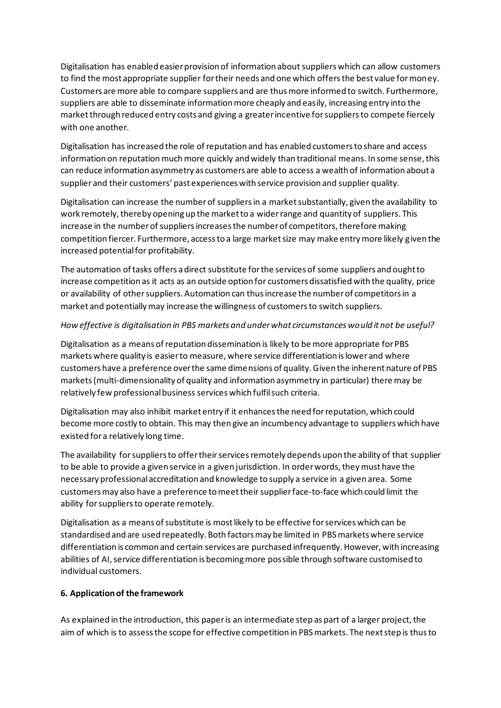Digitalisation has enabled easier provision of information about suppliers which can allow customers to find the most appropriate supplier for their needs and one which offers the best value for money. Customers are more able to compare suppliers and are thus more informed to switch. Furthermore, suppliers are able to disseminate information more cheaply and easily, increasing entry into the market through reduced entry costs and giving a greater incentive for suppliers to compete fiercely with one another.

Digitalisation has increased the role of reputation and has enabled customers to share and access information on reputation much more quickly and widely than traditional means. In some sense, this can reduce information asymmetry as customers are able to access a wealth of information about a supplier and their customers' past experiences with service provision and supplier quality.

Digitalisation can increase the number of suppliers in a market substantially, given the availability to work remotely, thereby opening up the market to a wider range and quantity of suppliers. This increase in the number of suppliers increases the number of competitors, therefore making competition fiercer. Furthermore, access to a large market size may make entry more likely given the increased potential for profitability.

The automation of tasks offers a direct substitute for the services of some suppliers and ought to increase competition as it acts as an outside option for customers dissatisfied with the quality, price or availability of other suppliers. Automation can thus increase the number of competitors in a market and potentially may increase the willingness of customers to switch suppliers.

### *How effective is digitalisation in PBS markets and under what circumstances would it not be useful?*

Digitalisation as a means of reputation dissemination is likely to be more appropriate for PBS markets where quality is easier to measure, where service differentiation is lower and where customers have a preference over the same dimensions of quality. Given the inherent nature of PBS markets (multi-dimensionality of quality and information asymmetry in particular) there may be relatively few professional business services which fulfil such criteria.

Digitalisation may also inhibit market entry if it enhances the need for reputation, which could become more costly to obtain. This may then give an incumbency advantage to suppliers which have existed for a relatively long time.

The availability for suppliers to offer their services remotely depends upon the ability of that supplier to be able to provide a given service in a given jurisdiction. In order words, they must have the necessary professional accreditation and knowledge to supply a service in a given area. Some customers may also have a preference to meet their supplierface-to-face which could limit the ability for suppliers to operate remotely.

Digitalisation as a means of substitute is most likely to be effective for services which can be standardised and are used repeatedly. Both factors may be limited in PBS markets where service differentiation is common and certain services are purchased infrequently. However, with increasing abilities of AI, service differentiation is becoming more possible through software customised to individual customers.

### **6. Application of the framework**

As explained in the introduction, this paper is an intermediate step as part of a larger project, the aim of which is to assess the scope for effective competition in PBS markets. The next step is thus to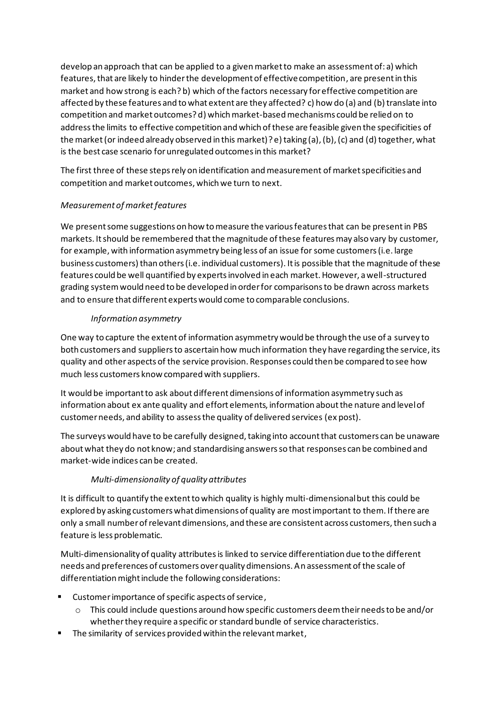develop an approach that can be applied to a given market to make an assessment of: a) which features, that are likely to hinder the development of effective competition, are present in this market and how strong is each? b) which of the factors necessary for effective competition are affected by these features and to what extent are they affected? c) how do (a) and (b) translate into competition and market outcomes? d) which market-based mechanisms could be relied on to address the limits to effective competition and which of these are feasible given the specificities of the market(or indeed already observed in this market)? e) taking (a), (b), (c) and (d) together, what is the best case scenario for unregulated outcomes in this market?

The first three of these steps rely on identification and measurement of market specificities and competition and market outcomes, which we turn to next.

# *Measurement of market features*

We present some suggestions on how to measure the various features that can be present in PBS markets. It should be remembered that the magnitude of these features may also vary by customer, for example, with information asymmetry being less of an issue for some customers (i.e. large business customers) than others (i.e. individual customers). It is possible that the magnitude of these features could be well quantified by experts involved in each market. However, a well-structured grading system would need to be developed in order for comparisons to be drawn across markets and to ensure that different experts would come to comparable conclusions.

# *Information asymmetry*

One way to capture the extent of information asymmetry would be through the use of a survey to both customers and suppliers to ascertain how much information they have regarding the service, its quality and other aspects of the service provision. Responses could then be compared to see how much less customers know compared with suppliers.

It would be important to ask about different dimensions of information asymmetry such as information about ex ante quality and effort elements, information about the nature and level of customer needs, and ability to assess the quality of delivered services (ex post).

The surveys would have to be carefully designed, taking into account that customers can be unaware about what they do not know; and standardising answers so that responses can be combined and market-wide indices can be created.

# *Multi-dimensionality of quality attributes*

It is difficult to quantify the extent to which quality is highly multi-dimensional but this could be explored by asking customers what dimensions of quality are most important to them. If there are only a small number of relevant dimensions, and these are consistent across customers, then such a feature is less problematic.

Multi-dimensionality of quality attributes is linked to service differentiation due to the different needs and preferences of customers over quality dimensions. An assessment of the scale of differentiation might include the following considerations:

- Customer importance of specific aspects of service,
	- $\circ$  This could include questions around how specific customers deem their needs to be and/or whether they require a specific or standard bundle of service characteristics.
- The similarity of services provided within the relevant market,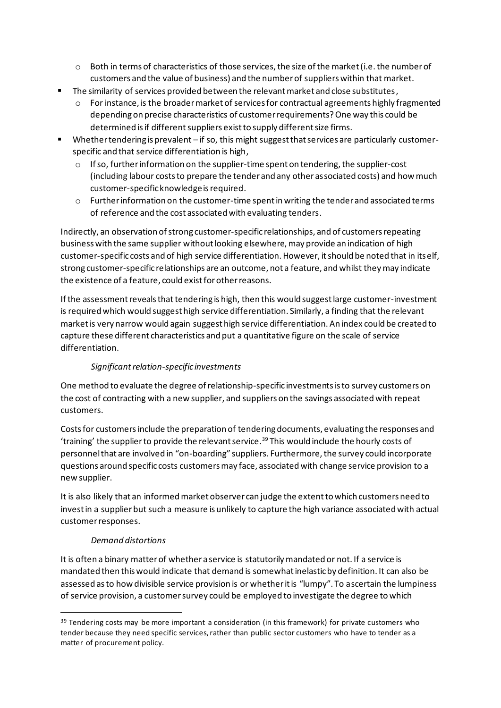- o Both in terms of characteristics of those services, the size of the market (i.e. the number of customers and the value of business) and the number of suppliers within that market.
- The similarity of services provided between the relevant market and close substitutes,
	- $\circ$  For instance, is the broader market of services for contractual agreements highly fragmented depending on precise characteristics of customer requirements? One way this could be determined is if different suppliers exist to supply different size firms.
- Whether tendering is prevalent if so, this might suggest that services are particularly customerspecific and that service differentiation is high,
	- $\circ$  If so, further information on the supplier-time spent on tendering, the supplier-cost (including labour costs to prepare the tender and any other associated costs) and how much customer-specific knowledge is required.
	- $\circ$  Further information on the customer-time spent in writing the tender and associated terms of reference and the cost associated with evaluating tenders.

Indirectly, an observation of strong customer-specific relationships, and of customers repeating business with the same supplier without looking elsewhere, may provide an indication of high customer-specific costs and of high service differentiation. However, it should be noted that in itself, strong customer-specific relationships are an outcome, not a feature, and whilst they may indicate the existence of a feature, could exist for other reasons.

If the assessment reveals that tendering is high, then this would suggest large customer-investment is required which would suggest high service differentiation. Similarly, a finding that the relevant market is very narrow would again suggest high service differentiation. An index could be created to capture these different characteristics and put a quantitative figure on the scale of service differentiation.

# *Significant relation-specific investments*

One method to evaluate the degree of relationship-specific investmentsis to survey customers on the cost of contracting with a new supplier, and suppliers on the savings associated with repeat customers.

Costs for customers include the preparation of tendering documents, evaluating the responses and 'training' the supplier to provide the relevant service.<sup>39</sup> This would include the hourly costs of personnel that are involved in "on-boarding" suppliers. Furthermore, the survey could incorporate questions around specific costs customers may face, associated with change service provision to a new supplier.

It is also likely that an informed market observer can judge the extent to which customers need to invest in a supplier but such a measure is unlikely to capture the high variance associated with actual customer responses.

# *Demand distortions*

It is often a binary matter of whether a service is statutorily mandated or not. If a service is mandated then this would indicate that demand is somewhat inelastic by definition. It can also be assessed as to how divisible service provision is or whether it is "lumpy". To ascertain the lumpiness of service provision, a customer survey could be employed to investigate the degree to which

 $39$  Tendering costs may be more important a consideration (in this framework) for private customers who tender because they need specific services, rather than public sector customers who have to tender as a matter of procurement policy.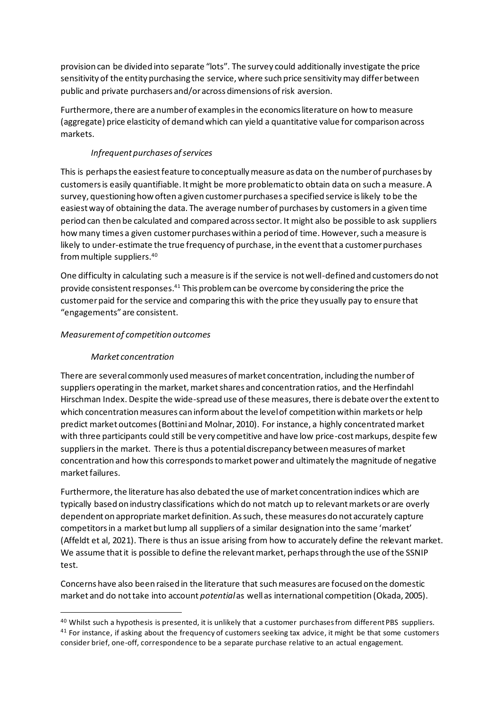provision can be divided into separate "lots". The survey could additionally investigate the price sensitivity of the entity purchasing the service, where such price sensitivity may differ between public and private purchasers and/or across dimensions of risk aversion.

Furthermore, there are a number of examples in the economics literature on how to measure (aggregate) price elasticity of demand which can yield a quantitative value for comparison across markets.

## *Infrequent purchases of services*

This is perhaps the easiest feature to conceptually measure as data on the number of purchases by customers is easily quantifiable. It might be more problematic to obtain data on such a measure. A survey, questioning how often a given customer purchases a specified service is likely to be the easiest way of obtaining the data. The average number of purchases by customersin a given time period can then be calculated and compared across sector. It might also be possible to ask suppliers how many times a given customer purchases within a period of time. However, such a measure is likely to under-estimate the true frequency of purchase, in the event that a customer purchases from multiple suppliers.<sup>40</sup>

One difficulty in calculating such a measure is if the service is not well-defined and customers do not provide consistent responses.<sup>41</sup> This problem can be overcome by considering the price the customer paid for the service and comparing this with the price they usually pay to ensure that "engagements" are consistent.

### *Measurement of competition outcomes*

## *Market concentration*

There are several commonly used measures of market concentration, including the number of suppliers operating in the market, market shares and concentration ratios, and the Herfindahl Hirschman Index. Despite the wide-spread use of these measures, there is debate over the extent to which concentration measures can inform about the level of competition within markets or help predict market outcomes(Bottiniand Molnar, 2010). For instance, a highly concentrated market with three participants could still be very competitive and have low price-cost markups, despite few suppliers in the market. There is thus a potential discrepancy between measures of market concentration and how this corresponds to market power and ultimately the magnitude of negative market failures.

Furthermore, the literature has also debated the use of market concentration indices which are typically based on industry classifications which do not match up to relevant markets or are overly dependent on appropriate market definition. As such, these measures do not accurately capture competitors in a market but lump all suppliers of a similar designation into the same 'market' (Affeldt et al, 2021). There is thus an issue arising from how to accurately define the relevant market. We assume that it is possible to define the relevant market, perhaps through the use of the SSNIP test.

Concerns have also been raised in the literature that such measures are focused on the domestic market and do not take into account *potential*as well as international competition (Okada, 2005).

<sup>&</sup>lt;sup>40</sup> Whilst such a hypothesis is presented, it is unlikely that a customer purchases from different PBS suppliers. <sup>41</sup> For instance, if asking about the frequency of customers seeking tax advice, it might be that some customers consider brief, one-off, correspondence to be a separate purchase relative to an actual engagement.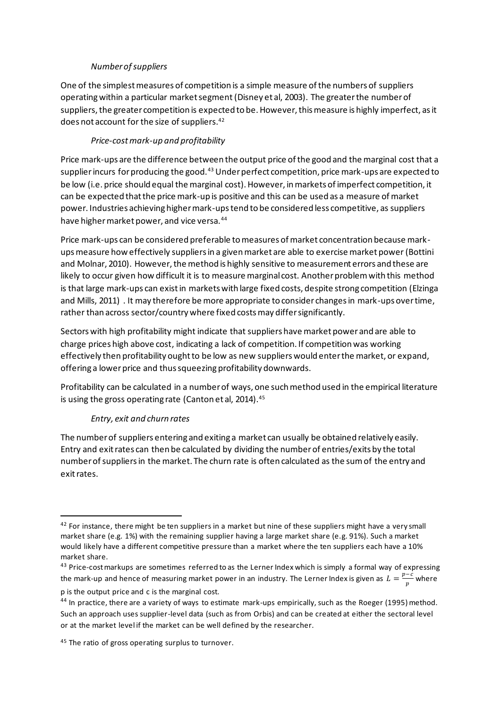### *Number of suppliers*

One of the simplest measures of competition is a simple measure of the numbers of suppliers operating within a particular market segment (Disney et al, 2003). The greater the number of suppliers, the greater competition is expected to be. However, this measure is highly imperfect, as it does not account for the size of suppliers.<sup>42</sup>

## *Price-cost mark-up and profitability*

Price mark-ups are the difference between the output price of the good and the marginal cost that a supplier incurs for producing the good.<sup>43</sup> Under perfect competition, price mark-ups are expected to be low (i.e. price should equal the marginal cost). However, in markets of imperfect competition, it can be expected that the price mark-up is positive and this can be used as a measure of market power. Industries achieving higher mark-ups tend to be considered less competitive, as suppliers have higher market power, and vice versa.<sup>44</sup>

Price mark-ups can be considered preferable to measures of market concentration because markups measure how effectively suppliers in a given market are able to exercise market power (Bottini and Molnar, 2010). However, the method is highly sensitive to measurement errors and these are likely to occur given how difficult it is to measure marginal cost. Another problem with this method is that large mark-ups can exist in markets with large fixed costs, despite strong competition (Elzinga and Mills, 2011) . It may therefore be more appropriate to consider changes in mark-ups over time, rather than across sector/country where fixed costs may differ significantly.

Sectors with high profitability might indicate that suppliers have market power and are able to charge prices high above cost, indicating a lack of competition. If competition was working effectively then profitability ought to be low as new suppliers would enter the market, or expand, offering a lower price and thus squeezing profitability downwards.

Profitability can be calculated in a number of ways, one such method used in the empirical literature is using the gross operating rate (Canton et al, 2014).<sup>45</sup>

### *Entry, exit and churn rates*

The number of suppliers entering and exiting a market can usually be obtained relatively easily. Entry and exit rates can then be calculated by dividing the number of entries/exits by the total number of suppliers in the market. The churn rate is often calculated as the sum of the entry and exit rates.

<sup>&</sup>lt;sup>42</sup> For instance, there might be ten suppliers in a market but nine of these suppliers might have a very small market share (e.g. 1%) with the remaining supplier having a large market share (e.g. 91%). Such a market would likely have a different competitive pressure than a market where the ten suppliers each have a 10% market share.

<sup>&</sup>lt;sup>43</sup> Price-cost markups are sometimes referred to as the Lerner Index which is simply a formal way of expressing the mark-up and hence of measuring market power in an industry. The Lerner Index is given as  $L = \frac{p-c}{n}$  $\frac{v}{p}$  where

p is the output price and c is the marginal cost.

<sup>&</sup>lt;sup>44</sup> In practice, there are a variety of ways to estimate mark-ups empirically, such as the Roeger (1995) method. Such an approach uses supplier-level data (such as from Orbis) and can be created at either the sectoral level or at the market level if the market can be well defined by the researcher.

<sup>&</sup>lt;sup>45</sup> The ratio of gross operating surplus to turnover.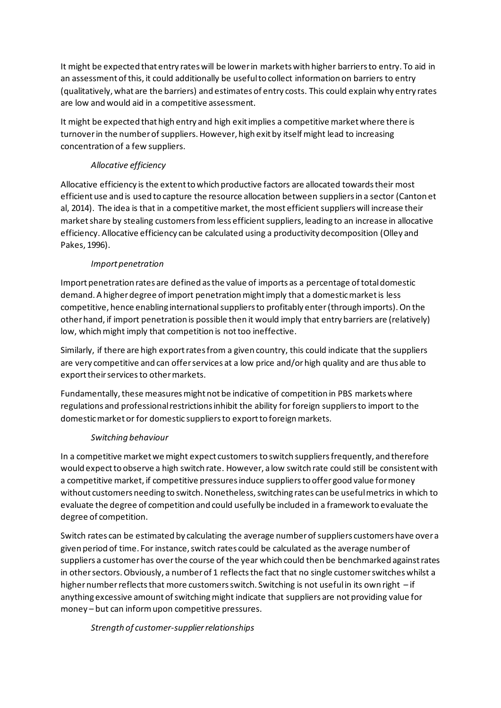It might be expected that entry rates will be lower in markets with higher barriers to entry. To aid in an assessment of this, it could additionally be useful to collect information on barriers to entry (qualitatively, what are the barriers) and estimates of entry costs. This could explain why entry rates are low and would aid in a competitive assessment.

It might be expected that high entry and high exit implies a competitive market where there is turnover in the number of suppliers. However, high exit by itself might lead to increasing concentration of a few suppliers.

# *Allocative efficiency*

Allocative efficiency is the extent to which productive factors are allocated towards their most efficient use and is used to capture the resource allocation between suppliers in a sector (Canton et al, 2014). The idea is that in a competitive market, the most efficient suppliers will increase their market share by stealing customers from less efficient suppliers, leading to an increase in allocative efficiency. Allocative efficiency can be calculated using a productivity decomposition (Olley and Pakes, 1996).

# *Import penetration*

Import penetration rates are defined as the value of imports as a percentage of total domestic demand. A higher degree of import penetration might imply that a domestic market is less competitive, hence enabling international suppliers to profitably enter (through imports). On the other hand, if import penetration is possible then it would imply that entry barriers are (relatively) low, which might imply that competition is not too ineffective.

Similarly, if there are high export rates from a given country, this could indicate that the suppliers are very competitive and can offer services at a low price and/or high quality and are thus able to export their services to other markets.

Fundamentally, these measures might not be indicative of competition in PBS markets where regulations and professional restrictions inhibit the ability for foreign suppliers to import to the domestic market or for domestic suppliers to export to foreign markets.

# *Switching behaviour*

In a competitive market we might expect customersto switch suppliers frequently, and therefore would expect to observe a high switch rate. However, a low switch rate could still be consistent with a competitive market, if competitive pressures induce suppliers to offer good value for money without customers needing to switch. Nonetheless, switching rates can be useful metrics in which to evaluate the degree of competition and could usefully be included in a framework to evaluate the degree of competition.

Switch rates can be estimated by calculating the average number of suppliers customers have over a given period of time. For instance, switch rates could be calculated as the average number of suppliers a customer has over the course of the year which could then be benchmarked against rates in other sectors. Obviously, a number of 1 reflects the fact that no single customer switches whilst a higher number reflects that more customers switch. Switching is not useful in its own right – if anything excessive amount of switching might indicate that suppliers are not providing value for money – but can inform upon competitive pressures.

# *Strength of customer-supplierrelationships*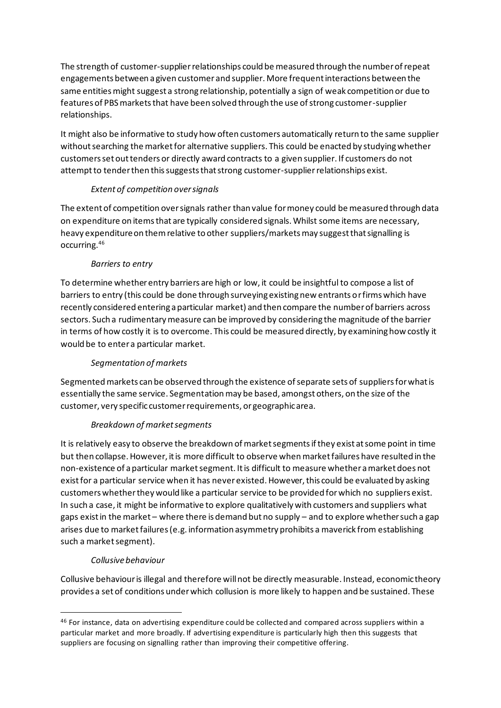The strength of customer-supplier relationships could be measured through the number of repeat engagements between a given customer and supplier. More frequent interactions between the same entities might suggest a strong relationship, potentially a sign of weak competition or due to features of PBS markets that have been solved through the use of strong customer-supplier relationships.

It might also be informative to study how often customers automatically return to the same supplier without searching the market for alternative suppliers. This could be enacted by studying whether customers set out tenders or directly award contracts to a given supplier. If customers do not attemptto tender then this suggests that strong customer-supplierrelationships exist.

# *Extent of competition over signals*

The extent of competition over signals rather than value for money could be measured through data on expenditure on items that are typically considered signals. Whilst some items are necessary, heavy expenditure on them relative to other suppliers/markets may suggest that signalling is occurring.<sup>46</sup>

### *Barriers to entry*

To determine whether entry barriers are high or low, it could be insightful to compose a list of barriers to entry (this could be done through surveying existing new entrants or firms which have recently considered entering a particular market) and then compare the number of barriers across sectors. Such a rudimentary measure can be improved by considering the magnitude of the barrier in terms of how costly it is to overcome. This could be measured directly, by examining how costly it would be to enter a particular market.

# *Segmentation of markets*

Segmented markets can be observed through the existence of separate sets of suppliersfor what is essentially the same service. Segmentation may be based, amongstothers, on the size of the customer, very specific customer requirements, or geographic area.

### *Breakdown of market segments*

It is relatively easy to observe the breakdown of market segments if they exist at some point in time but then collapse. However, it is more difficult to observe when market failures have resulted in the non-existence of a particular market segment. It is difficult to measure whether a market does not exist for a particular service when it has never existed. However, this could be evaluated by asking customers whether they would like a particular service to be provided for which no suppliers exist. In such a case, it might be informative to explore qualitatively with customers and suppliers what gaps exist in the market – where there is demand but no supply – and to explore whether such a gap arises due to market failures (e.g. information asymmetry prohibits a maverick from establishing such a market segment).

### *Collusive behaviour*

Collusive behaviour is illegal and therefore will not be directly measurable. Instead, economic theory provides a set of conditions under which collusion is more likely to happen and be sustained. These

<sup>&</sup>lt;sup>46</sup> For instance, data on advertising expenditure could be collected and compared across suppliers within a particular market and more broadly. If advertising expenditure is particularly high then this suggests that suppliers are focusing on signalling rather than improving their competitive offering.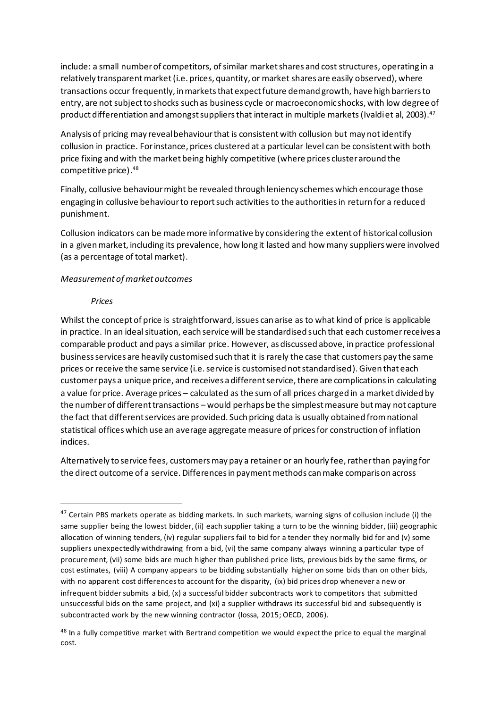include: a small number of competitors, of similar market shares and cost structures, operating in a relatively transparent market (i.e. prices, quantity, or market shares are easily observed), where transactions occur frequently, in markets that expect future demand growth, have high barriers to entry, are not subject to shocks such as business cycle or macroeconomic shocks, with low degree of product differentiation and amongst suppliers that interact in multiple markets (Ivaldi et al, 2003). $^{47}$ 

Analysis of pricing may reveal behaviour that is consistent with collusion but may not identify collusion in practice. For instance, prices clustered at a particular level can be consistent with both price fixing and with the market being highly competitive (where prices cluster around the competitive price). 48

Finally, collusive behaviour might be revealed through leniency schemes which encourage those engaging in collusive behaviour to report such activities to the authorities in return for a reduced punishment.

Collusion indicators can be made more informative by considering the extent of historical collusion in a given market, including its prevalence, how long it lasted and how many suppliers were involved (as a percentage of total market).

#### *Measurement of market outcomes*

#### *Prices*

Whilst the concept of price is straightforward, issues can arise as to what kind of price is applicable in practice. In an ideal situation, each service will be standardised such that each customer receives a comparable product and pays a similar price. However, as discussed above, in practice professional business services are heavily customised such that it is rarely the case that customers pay the same prices or receive the same service (i.e. service is customised not standardised). Given that each customer pays a unique price, and receives a different service, there are complications in calculating a value for price. Average prices – calculated as the sum of all prices charged in a market divided by the number of different transactions – would perhaps be the simplest measure but may not capture the fact that different services are provided. Such pricing data is usually obtained from national statistical offices which use an average aggregate measure of prices for construction of inflation indices.

Alternatively to service fees, customers may pay a retainer or an hourly fee, rather than paying for the direct outcome of a service. Differences in payment methods can make comparison across

 $47$  Certain PBS markets operate as bidding markets. In such markets, warning signs of collusion include (i) the same supplier being the lowest bidder, (ii) each supplier taking a turn to be the winning bidder, (iii) geographic allocation of winning tenders, (iv) regular suppliers fail to bid for a tender they normally bid for and (v) some suppliers unexpectedly withdrawing from a bid, (vi) the same company always winning a particular type of procurement, (vii) some bids are much higher than published price lists, previous bids by the same firms, or cost estimates, (viii) A company appears to be bidding substantially higher on some bids than on other bids, with no apparent cost differences to account for the disparity, (ix) bid prices drop whenever a new or infrequent bidder submits a bid, (x) a successful bidder subcontracts work to competitors that submitted unsuccessful bids on the same project, and (xi) a supplier withdraws its successful bid and subsequently is subcontracted work by the new winning contractor (Iossa, 2015; OECD, 2006).

<sup>&</sup>lt;sup>48</sup> In a fully competitive market with Bertrand competition we would expect the price to equal the marginal cost.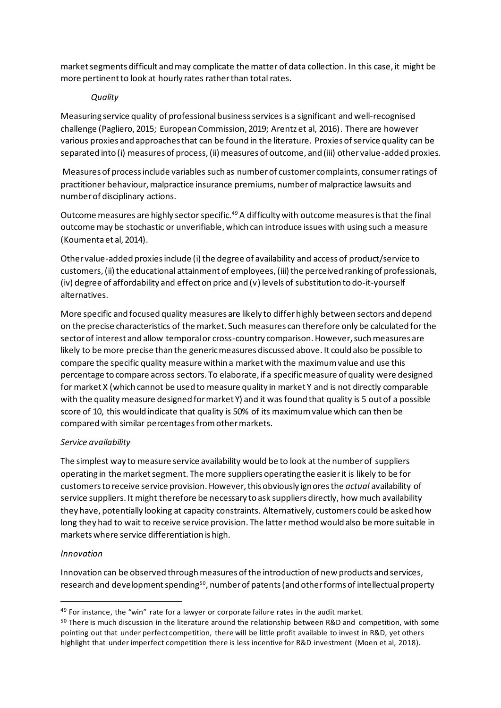market segments difficult and may complicate the matter of data collection. In this case, it might be more pertinent to look at hourly rates rather than total rates.

### *Quality*

Measuring service quality of professionalbusinessservices is a significant and well-recognised challenge (Pagliero, 2015; European Commission, 2019; Arentz et al, 2016). There are however various proxies and approaches that can be found in the literature. Proxies of service quality can be separated into (i) measures of process, (ii) measures of outcome, and (iii) other value-added proxies.

Measures of process include variables such as number of customer complaints, consumer ratings of practitioner behaviour, malpractice insurance premiums, number of malpractice lawsuits and number of disciplinary actions.

Outcome measures are highly sector specific.<sup>49</sup> A difficulty with outcome measures is that the final outcome may be stochastic or unverifiable, which can introduce issues with using such a measure (Koumenta et al, 2014).

Other value-added proxies include (i) the degree of availability and access of product/service to customers, (ii) the educational attainment of employees, (iii) the perceived ranking of professionals, (iv) degree of affordability and effect on price and (v) levels of substitution to do-it-yourself alternatives.

More specific and focused quality measures are likely to differ highly between sectors and depend on the precise characteristics of the market. Such measures can therefore only be calculated for the sector of interest and allow temporal or cross-country comparison. However, such measures are likely to be more precise than the generic measures discussed above. It could also be possible to compare the specific quality measure within a market with the maximum value and use this percentage to compare across sectors. To elaborate, if a specific measure of quality were designed for market X (which cannot be used to measure quality in market Y and is not directly comparable with the quality measure designed for market Y) and it was found that quality is 5 out of a possible score of 10, this would indicate that quality is 50% of its maximum value which can then be compared with similar percentages from other markets.

### *Service availability*

The simplest way to measure service availability would be to look at the number of suppliers operating in the market segment. The more suppliers operating the easier it is likely to be for customers to receive service provision. However, this obviously ignores the *actual* availability of service suppliers. It might therefore be necessary to ask suppliers directly, how much availability they have, potentially looking at capacity constraints. Alternatively, customers could be asked how long they had to wait to receive service provision. The latter method would also be more suitable in markets where service differentiation is high.

### *Innovation*

Innovation can be observed through measures of the introduction of new products and services, research and development spending $^{\rm 50}$ , number of patents (and other forms of intellectual property

 $49$  For instance, the "win" rate for a lawyer or corporate failure rates in the audit market.

<sup>&</sup>lt;sup>50</sup> There is much discussion in the literature around the relationship between R&D and competition, with some pointing out that under perfect competition, there will be little profit available to invest in R&D, yet others highlight that under imperfect competition there is less incentive for R&D investment (Moen et al, 2018).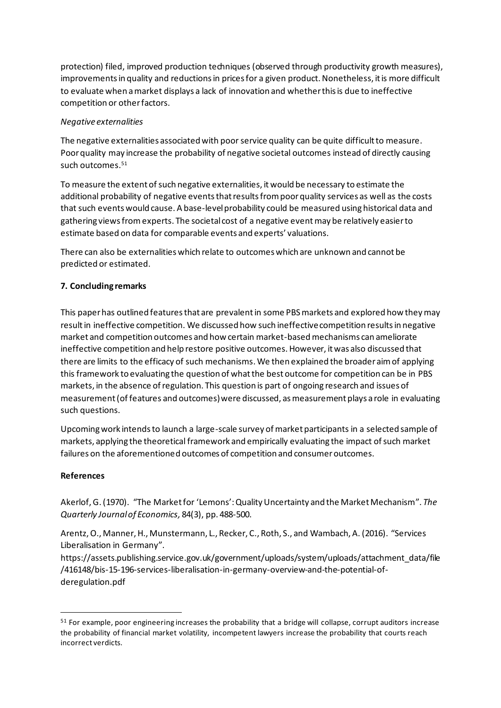protection) filed, improved production techniques (observed through productivity growth measures), improvements in quality and reductions in prices for a given product. Nonetheless, it is more difficult to evaluate when a market displays a lack of innovation and whether this is due to ineffective competition or other factors.

### *Negative externalities*

The negative externalities associated with poor service quality can be quite difficult to measure. Poor quality may increase the probability of negative societal outcomes instead of directly causing such outcomes. 51

To measure the extent of such negative externalities, it would be necessary to estimate the additional probability of negative events that results from poor quality services as well as the costs that such events would cause. A base-level probability could be measured using historical data and gathering views from experts. The societal cost of a negative event may be relatively easier to estimate based on data for comparable events and experts' valuations.

There can also be externalities which relate to outcomes which are unknown and cannot be predicted or estimated.

# **7. Concluding remarks**

This paper has outlined features that are prevalentin some PBS markets and explored how they may result in ineffective competition. We discussed how such ineffective competition results in negative market and competition outcomes and how certain market-based mechanisms can ameliorate ineffective competition and help restore positive outcomes. However, it was also discussed that there are limits to the efficacy of such mechanisms.We then explained the broader aim of applying this framework to evaluating the question of what the best outcome for competition can be in PBS markets, in the absence of regulation. This question is part of ongoing research and issues of measurement (of features and outcomes) were discussed, as measurement plays a role in evaluating such questions.

Upcoming work intends to launch a large-scale survey of market participants in a selected sample of markets, applying the theoretical framework and empirically evaluating the impact of such market failures on the aforementioned outcomes of competition and consumer outcomes.

### **References**

Akerlof, G. (1970). "The Market for 'Lemons': Quality Uncertainty and the Market Mechanism". *The Quarterly Journal of Economics,* 84(3), pp. 488-500.

Arentz, O., Manner, H., Munstermann, L., Recker, C., Roth, S., and Wambach, A. (2016). "Services Liberalisation in Germany".

https://assets.publishing.service.gov.uk/government/uploads/system/uploads/attachment\_data/file /416148/bis-15-196-services-liberalisation-in-germany-overview-and-the-potential-ofderegulation.pdf

<sup>&</sup>lt;sup>51</sup> For example, poor engineering increases the probability that a bridge will collapse, corrupt auditors increase the probability of financial market volatility, incompetent lawyers increase the probability that courts reach incorrect verdicts.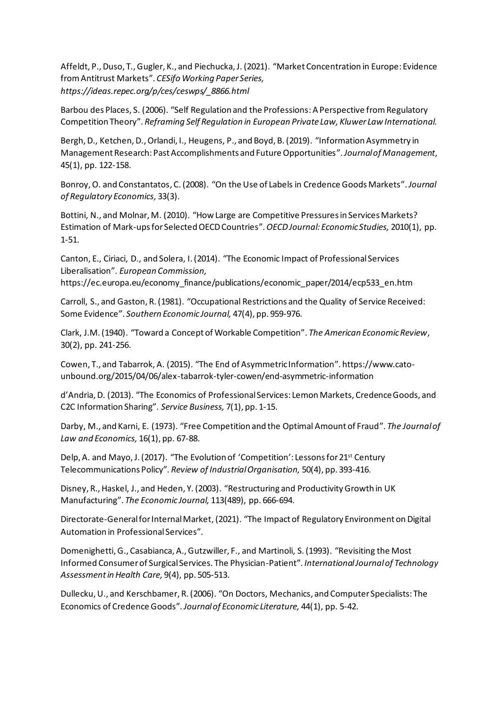Affeldt, P., Duso, T., Gugler, K., and Piechucka, J. (2021). "Market Concentration in Europe: Evidence from Antitrust Markets". *CESifo Working Paper Series, https://ideas.repec.org/p/ces/ceswps/\_8866.html*

Barbou des Places, S. (2006). "Self Regulation and the Professions: A Perspective from Regulatory Competition Theory". *Reframing Self Regulation in European Private Law, Kluwer Law International.*

Bergh, D., Ketchen, D., Orlandi, I., Heugens, P., and Boyd, B. (2019). "Information Asymmetry in Management Research: Past Accomplishments and Future Opportunities".*Journal of Management*, 45(1), pp. 122-158.

Bonroy, O. and Constantatos, C. (2008). "On the Use of Labels in Credence Goods Markets".*Journal of Regulatory Economics,* 33(3).

Bottini, N., and Molnar, M. (2010). "How Large are Competitive Pressures in Services Markets? Estimation of Mark-ups for Selected OECD Countries".*OECD Journal: Economic Studies,* 2010(1), pp. 1-51.

Canton, E., Ciriaci, D., and Solera, I. (2014). "The Economic Impact of Professional Services Liberalisation". *European Commission,*  https://ec.europa.eu/economy\_finance/publications/economic\_paper/2014/ecp533\_en.htm

Carroll, S., and Gaston, R.(1981). "Occupational Restrictions and the Quality of Service Received: Some Evidence". *Southern Economic Journal,* 47(4), pp. 959-976.

Clark, J.M. (1940). "Toward a Concept of Workable Competition". *The American Economic Review*, 30(2), pp. 241-256.

Cowen, T., and Tabarrok, A. (2015). "The End of Asymmetric Information". https://www.catounbound.org/2015/04/06/alex-tabarrok-tyler-cowen/end-asymmetric-information

d'Andria, D. (2013). "The Economics of Professional Services: Lemon Markets, Credence Goods, and C2C Information Sharing". *Service Business,* 7(1), pp. 1-15.

Darby, M., and Karni, E. (1973). "Free Competition and the Optimal Amount of Fraud". *The Journal of Law and Economics,* 16(1), pp. 67-88.

Delp, A. and Mayo, J. (2017). "The Evolution of 'Competition': Lessons for 21<sup>st</sup> Century Telecommunications Policy". *Review of Industrial Organisation,* 50(4), pp. 393-416.

Disney, R., Haskel, J., and Heden, Y. (2003). "Restructuring and Productivity Growth in UK Manufacturing". *The Economic Journal,* 113(489), pp. 666-694.

Directorate-General for Internal Market, (2021). "The Impact of Regulatory Environment on Digital Automation in Professional Services".

Domenighetti, G., Casabianca, A., Gutzwiller, F., and Martinoli, S. (1993). "Revisiting the Most Informed Consumer of Surgical Services. The Physician-Patient". *International Journal of Technology Assessment in Health Care,* 9(4), pp. 505-513.

Dullecku, U., and Kerschbamer, R.(2006). "On Doctors, Mechanics, and Computer Specialists: The Economics of Credence Goods".*Journal of Economic Literature,* 44(1), pp. 5-42.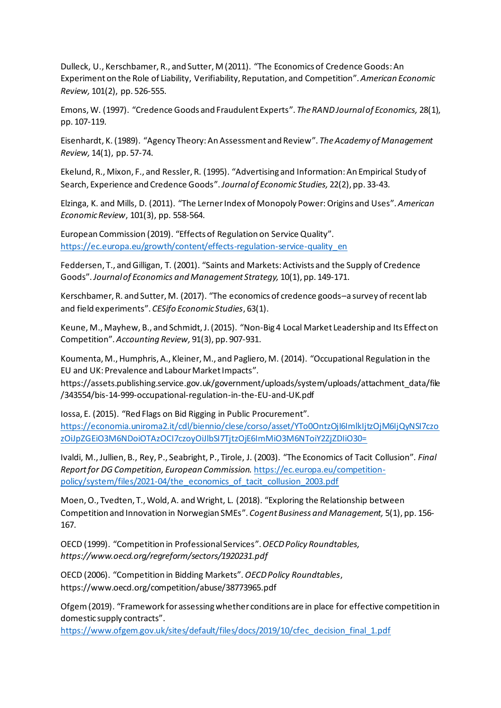Dulleck, U., Kerschbamer, R., and Sutter, M (2011). "The Economics of Credence Goods: An Experiment on the Role of Liability, Verifiability, Reputation, and Competition". *American Economic Review,* 101(2), pp. 526-555.

Emons, W. (1997). "Credence Goods and Fraudulent Experts". *The RAND Journal of Economics,* 28(1), pp. 107-119.

Eisenhardt, K. (1989). "Agency Theory: An Assessment and Review". *The Academy of Management Review,* 14(1), pp. 57-74.

Ekelund, R., Mixon, F., and Ressler, R. (1995). "Advertising and Information: An Empirical Study of Search, Experience and Credence Goods".*Journal of Economic Studies,* 22(2), pp. 33-43.

Elzinga, K. and Mills, D. (2011). "The Lerner Index of Monopoly Power: Origins and Uses". *American Economic Review*, 101(3), pp. 558-564.

European Commission (2019). "Effects of Regulation on Service Quality". [https://ec.europa.eu/growth/content/effects-regulation-service-quality\\_en](https://ec.europa.eu/growth/content/effects-regulation-service-quality_en)

Feddersen, T., and Gilligan, T. (2001). "Saints and Markets: Activists and the Supply of Credence Goods". *Journal of Economics and Management Strategy,* 10(1), pp. 149-171.

Kerschbamer, R. and Sutter, M. (2017). "The economics of credence goods–a survey of recent lab and field experiments". *CESifo Economic Studies*, 63(1).

Keune, M., Mayhew, B., and Schmidt, J. (2015). "Non-Big 4 Local Market Leadership and Its Effect on Competition". *Accounting Review,* 91(3), pp. 907-931.

Koumenta, M., Humphris, A., Kleiner, M., and Pagliero, M. (2014). "Occupational Regulation in the EU and UK: Prevalence and Labour Market Impacts".

https://assets.publishing.service.gov.uk/government/uploads/system/uploads/attachment\_data/file /343554/bis-14-999-occupational-regulation-in-the-EU-and-UK.pdf

Iossa, E. (2015). "Red Flags on Bid Rigging in Public Procurement". [https://economia.uniroma2.it/cdl/biennio/clese/corso/asset/YTo0OntzOjI6ImlkIjtzOjM6IjQyNSI7czo](https://economia.uniroma2.it/cdl/biennio/clese/corso/asset/YTo0OntzOjI6ImlkIjtzOjM6IjQyNSI7czozOiJpZGEiO3M6NDoiOTAzOCI7czoyOiJlbSI7TjtzOjE6ImMiO3M6NToiY2ZjZDIiO30=) [zOiJpZGEiO3M6NDoiOTAzOCI7czoyOiJlbSI7TjtzOjE6ImMiO3M6NToiY2ZjZDIiO30=](https://economia.uniroma2.it/cdl/biennio/clese/corso/asset/YTo0OntzOjI6ImlkIjtzOjM6IjQyNSI7czozOiJpZGEiO3M6NDoiOTAzOCI7czoyOiJlbSI7TjtzOjE6ImMiO3M6NToiY2ZjZDIiO30=)

Ivaldi, M., Jullien, B., Rey, P., Seabright, P., Tirole, J. (2003). "The Economics of Tacit Collusion". *Final Report for DG Competition, European Commission.* [https://ec.europa.eu/competition](https://ec.europa.eu/competition-policy/system/files/2021-04/the_economics_of_tacit_collusion_2003.pdf)[policy/system/files/2021-04/the\\_economics\\_of\\_tacit\\_collusion\\_2003.pdf](https://ec.europa.eu/competition-policy/system/files/2021-04/the_economics_of_tacit_collusion_2003.pdf)

Moen, O., Tvedten, T., Wold, A. and Wright, L. (2018). "Exploring the Relationship between Competition and Innovation in Norwegian SMEs". *Cogent Business and Management,* 5(1), pp. 156- 167.

OECD (1999). "Competition in Professional Services".*OECD Policy Roundtables, https://www.oecd.org/regreform/sectors/1920231.pdf*

OECD (2006). "Competition in Bidding Markets". *OECD Policy Roundtables*, https://www.oecd.org/competition/abuse/38773965.pdf

Ofgem (2019). "Framework for assessing whether conditions are in place for effective competition in domestic supply contracts".

[https://www.ofgem.gov.uk/sites/default/files/docs/2019/10/cfec\\_decision\\_final\\_1.pdf](https://www.ofgem.gov.uk/sites/default/files/docs/2019/10/cfec_decision_final_1.pdf)